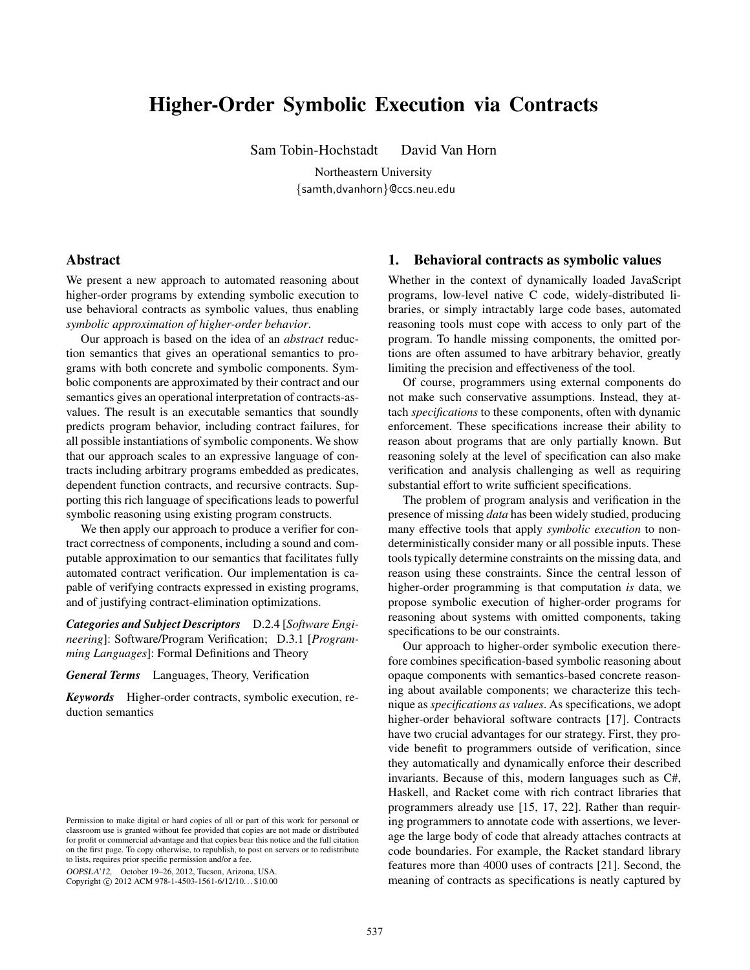# Higher-Order Symbolic Execution via Contracts

Sam Tobin-Hochstadt David Van Horn

Northeastern University {samth,dvanhorn}@ccs.neu.edu

# <span id="page-0-0"></span>Abstract

We present a new approach to automated reasoning about higher-order programs by extending symbolic execution to use behavioral contracts as symbolic values, thus enabling *symbolic approximation of higher-order behavior*.

Our approach is based on the idea of an *abstract* reduction semantics that gives an operational semantics to programs with both concrete and symbolic components. Symbolic components are approximated by their contract and our semantics gives an operational interpretation of contracts-asvalues. The result is an executable semantics that soundly predicts program behavior, including contract failures, for all possible instantiations of symbolic components. We show that our approach scales to an expressive language of contracts including arbitrary programs embedded as predicates, dependent function contracts, and recursive contracts. Supporting this rich language of specifications leads to powerful symbolic reasoning using existing program constructs.

We then apply our approach to produce a verifier for contract correctness of components, including a sound and computable approximation to our semantics that facilitates fully automated contract verification. Our implementation is capable of verifying contracts expressed in existing programs, and of justifying contract-elimination optimizations.

*Categories and Subject Descriptors* D.2.4 [*Software Engineering*]: Software/Program Verification; D.3.1 [*Programming Languages*]: Formal Definitions and Theory

*General Terms* Languages, Theory, Verification

*Keywords* Higher-order contracts, symbolic execution, reduction semantics

OOPSLA'12, October 19–26, 2012, Tucson, Arizona, USA.

Copyright © 2012 ACM 978-1-4503-1561-6/12/10... \$10.00

# 1. Behavioral contracts as symbolic values

Whether in the context of dynamically loaded JavaScript programs, low-level native C code, widely-distributed libraries, or simply intractably large code bases, automated reasoning tools must cope with access to only part of the program. To handle missing components, the omitted portions are often assumed to have arbitrary behavior, greatly limiting the precision and effectiveness of the tool.

Of course, programmers using external components do not make such conservative assumptions. Instead, they attach *specifications* to these components, often with dynamic enforcement. These specifications increase their ability to reason about programs that are only partially known. But reasoning solely at the level of specification can also make verification and analysis challenging as well as requiring substantial effort to write sufficient specifications.

The problem of program analysis and verification in the presence of missing *data* has been widely studied, producing many effective tools that apply *symbolic execution* to nondeterministically consider many or all possible inputs. These tools typically determine constraints on the missing data, and reason using these constraints. Since the central lesson of higher-order programming is that computation *is* data, we propose symbolic execution of higher-order programs for reasoning about systems with omitted components, taking specifications to be our constraints.

<span id="page-0-2"></span>Our approach to higher-order symbolic execution therefore combines specification-based symbolic reasoning about opaque components with semantics-based concrete reasoning about available components; we characterize this technique as *specifications as values*. As specifications, we adopt higher-order behavioral software contracts [\[17](#page-17-0)]. Contracts have two crucial advantages for our strategy. First, they provide benefit to programmers outside of verification, since they automatically and dynamically enforce their described invariants. Because of this, modern languages such as C#, Haskell, and Racket come with rich contract libraries that programmers already use [[15,](#page-17-1) [17,](#page-17-0) [22\]](#page-17-2). Rather than requiring programmers to annotate code with assertions, we leverage the large body of code that already attaches contracts at code boundaries. For example, the Racket standard library features more than 4000 uses of contracts [[21\]](#page-17-3). Second, the meaning of contracts as specifications is neatly captured by

<span id="page-0-1"></span>Permission to make digital or hard copies of all or part of this work for personal or classroom use is granted without fee provided that copies are not made or distributed for profit or commercial advantage and that copies bear this notice and the full citation on the first page. To copy otherwise, to republish, to post on servers or to redistribute to lists, requires prior specific permission and/or a fee.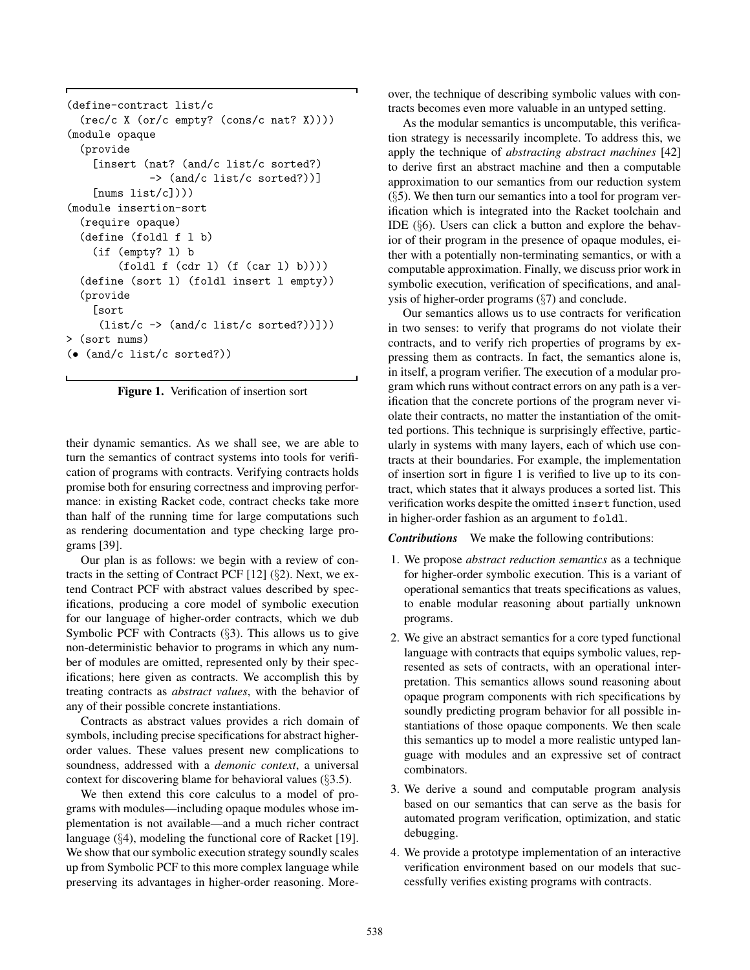```
(define-contract list/c
  (rec/c X (or/c empty? (cons/c nat? X))))
(module opaque
  (provide
    [insert (nat? (and/c list/c sorted?)
             -> (and/c list/c sorted?))]
    [\text{nums list}(c]))(module insertion-sort
  (require opaque)
  (define (foldl f l b)
    (if (empty? l) b
        (fold1 f (cdr 1) (f (car 1) b))))(define (sort l) (foldl insert l empty))
  (provide
    [sort
     (list/c \rightarrow (and/c list/c sorted?))])> (sort nums)
(• (and/c list/c sorted?))
```
<span id="page-1-0"></span>Figure 1. Verification of insertion sort

their dynamic semantics. As we shall see, we are able to turn the semantics of contract systems into tools for verification of programs with contracts. Verifying contracts holds promise both for ensuring correctness and improving performance: in existing Racket code, contract checks take more than half of the running time for large computations such as rendering documentation and type checking large programs [\[39](#page-17-4)].

Our plan is as follows: we begin with a review of contracts in the setting of Contract PCF [[12\]](#page-17-5) (§[2](#page-2-0)). Next, we extend Contract PCF with abstract values described by specifications, producing a core model of symbolic execution for our language of higher-order contracts, which we dub Symbolic PCF with Contracts (§[3\)](#page-3-0). This allows us to give non-deterministic behavior to programs in which any number of modules are omitted, represented only by their specifications; here given as contracts. We accomplish this by treating contracts as *abstract values*, with the behavior of any of their possible concrete instantiations.

Contracts as abstract values provides a rich domain of symbols, including precise specifications for abstract higherorder values. These values present new complications to soundness, addressed with a *demonic context*, a universal context for discovering blame for behavioral values (§[3.5\)](#page-5-0).

We then extend this core calculus to a model of programs with modules—including opaque modules whose implementation is not available—and a much richer contract language (§[4](#page-5-1)), modeling the functional core of Racket [\[19](#page-17-6)]. We show that our symbolic execution strategy soundly scales up from Symbolic PCF to this more complex language while preserving its advantages in higher-order reasoning. Moreover, the technique of describing symbolic values with contracts becomes even more valuable in an untyped setting.

As the modular semantics is uncomputable, this verification strategy is necessarily incomplete. To address this, we apply the technique of *abstracting abstract machines* [[42\]](#page-17-7) to derive first an abstract machine and then a computable approximation to our semantics from our reduction system  $(\S 5)$  $(\S 5)$ . We then turn our semantics into a tool for program verification which is integrated into the Racket toolchain and IDE (§[6\)](#page-13-0). Users can click a button and explore the behavior of their program in the presence of opaque modules, either with a potentially non-terminating semantics, or with a computable approximation. Finally, we discuss prior work in symbolic execution, verification of specifications, and analysis of higher-order programs (§[7\)](#page-14-0) and conclude.

Our semantics allows us to use contracts for verification in two senses: to verify that programs do not violate their contracts, and to verify rich properties of programs by expressing them as contracts. In fact, the semantics alone is, in itself, a program verifier. The execution of a modular program which runs without contract errors on any path is a verification that the concrete portions of the program never violate their contracts, no matter the instantiation of the omitted portions. This technique is surprisingly effective, particularly in systems with many layers, each of which use contracts at their boundaries. For example, the implementation of insertion sort in figure [1](#page-1-0) is verified to live up to its contract, which states that it always produces a sorted list. This verification works despite the omitted insert function, used in higher-order fashion as an argument to foldl.

*Contributions* We make the following contributions:

- 1. We propose *abstract reduction semantics* as a technique for higher-order symbolic execution. This is a variant of operational semantics that treats specifications as values, to enable modular reasoning about partially unknown programs.
- 2. We give an abstract semantics for a core typed functional language with contracts that equips symbolic values, represented as sets of contracts, with an operational interpretation. This semantics allows sound reasoning about opaque program components with rich specifications by soundly predicting program behavior for all possible instantiations of those opaque components. We then scale this semantics up to model a more realistic untyped language with modules and an expressive set of contract combinators.
- 3. We derive a sound and computable program analysis based on our semantics that can serve as the basis for automated program verification, optimization, and static debugging.
- 4. We provide a prototype implementation of an interactive verification environment based on our models that successfully verifies existing programs with contracts.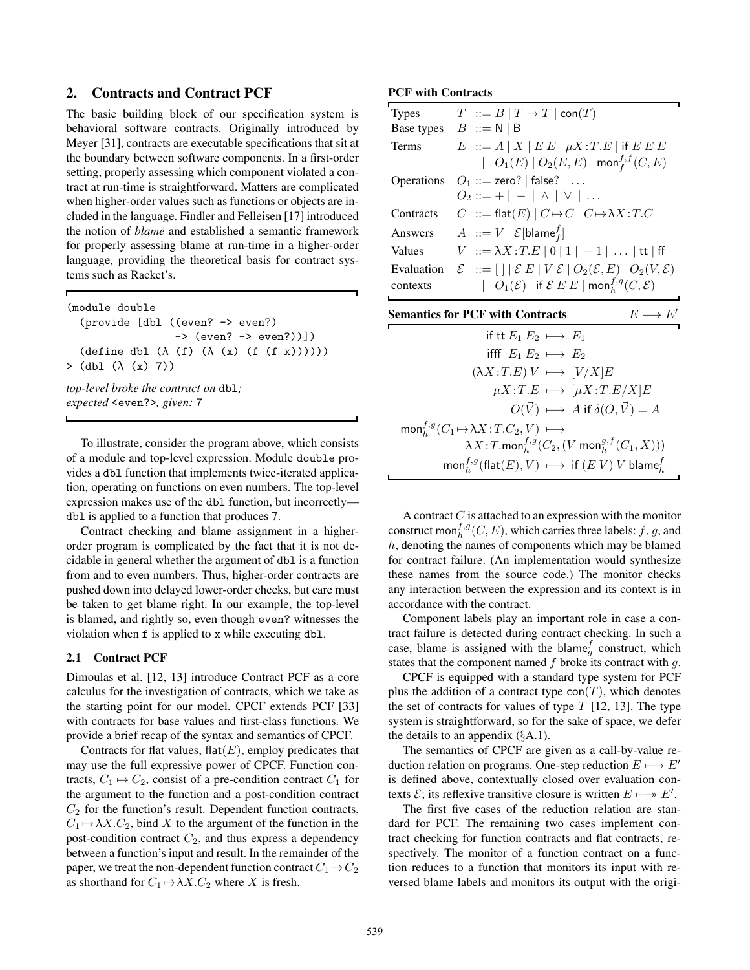# <span id="page-2-0"></span>2. Contracts and Contract PCF

The basic building block of our specification system is behavioral software contracts. Originally introduced by Meyer [\[31](#page-17-8)], contracts are executable specifications that sit at the boundary between software components. In a first-order setting, properly assessing which component violated a contract at run-time is straightforward. Matters are complicated when higher-order values such as functions or objects are included in the language. Findler and Felleisen [\[17](#page-17-0)] introduced the notion of *blame* and established a semantic framework for properly assessing blame at run-time in a higher-order language, providing the theoretical basis for contract systems such as Racket's.

| (module double)                                             |
|-------------------------------------------------------------|
| (provide [dbl ((even? -> even?)                             |
| $\rightarrow$ (even? $\rightarrow$ even?))])                |
| $(\text{define db1 } (\lambda (f) (\lambda (x) (f (f x))))$ |
| $>$ (dbl ( $\lambda$ (x) 7))                                |
| ton-level broke the contract on $dh$ ].                     |

*top-level broke the co expected* <even?>*, given:* 7

To illustrate, consider the program above, which consists of a module and top-level expression. Module double provides a dbl function that implements twice-iterated application, operating on functions on even numbers. The top-level expression makes use of the dbl function, but incorrectly dbl is applied to a function that produces 7.

Contract checking and blame assignment in a higherorder program is complicated by the fact that it is not decidable in general whether the argument of dbl is a function from and to even numbers. Thus, higher-order contracts are pushed down into delayed lower-order checks, but care must be taken to get blame right. In our example, the top-level is blamed, and rightly so, even though even? witnesses the violation when f is applied to x while executing dbl.

## 2.1 Contract PCF

Dimoulas et al. [\[12](#page-17-5), [13](#page-17-9)] introduce Contract PCF as a core calculus for the investigation of contracts, which we take as the starting point for our model. CPCF extends PCF [[33\]](#page-17-10) with contracts for base values and first-class functions. We provide a brief recap of the syntax and semantics of CPCF.

Contracts for flat values,  $\text{flat}(E)$ , employ predicates that may use the full expressive power of CPCF. Function contracts,  $C_1 \mapsto C_2$ , consist of a pre-condition contract  $C_1$  for the argument to the function and a post-condition contract  $C_2$  for the function's result. Dependent function contracts,  $C_1 \mapsto \lambda X.C_2$ , bind X to the argument of the function in the post-condition contract  $C_2$ , and thus express a dependency between a function's input and result. In the remainder of the paper, we treat the non-dependent function contract  $C_1 \mapsto C_2$ as shorthand for  $C_1 \mapsto \lambda X.C_2$  where X is fresh.

## PCF with Contracts

| <b>Types</b> | $T \nightharpoonup B \mid T \to T \mid \text{con}(T)$                                                   |                    |
|--------------|---------------------------------------------------------------------------------------------------------|--------------------|
|              | Base types $B ::= N   B$                                                                                |                    |
| Terms        | $E$ ::= $A   X   E E   \mu X : T.E  $ if $E E E$                                                        |                    |
|              | $ O_1(E)   O_2(E,E)  $ mon $^{f,f}_{f}(C,E)$                                                            |                    |
|              | Operations $O_1 ::=$ zero?   false?                                                                     |                    |
|              | $O_2 ::= +   -   \wedge   \vee   $                                                                      |                    |
| Contracts    | $C$ ::= flat(E) $ C \mapsto C   C \mapsto \lambda X : T.C$                                              |                    |
| Answers      | $A := V   \mathcal{E}[\text{blame}_f^f]$                                                                |                    |
| Values       | $V ::= \lambda X : T.E   0   1   -1   \ldots   \text{tt}   \text{ff}$                                   |                    |
| Evaluation   | $\mathcal{E}$ ::= $[\ ]\mathcal{E} E \mathcal{E} V \mathcal{E} O_2(\mathcal{E}, E) O_2(V, \mathcal{E})$ |                    |
| contexts     | $ O_1(\mathcal{E}) $ if $\mathcal{E} E E  $ mon ${}^{f,g}_b(C,\mathcal{E})$                             |                    |
|              | <b>Semantics for PCF with Contracts</b>                                                                 | $E \longmapsto E'$ |
|              | if tt $E_1 E_2 \longmapsto E_1$                                                                         |                    |
|              | ifff $E_1 E_2 \longmapsto E_2$                                                                          |                    |
|              | $(\lambda X: T.E) V \longmapsto [V/X]E$                                                                 |                    |

A contract  $C$  is attached to an expression with the monitor construct mon $f_h^{f,g}(C, E)$ , which carries three labels: f, g, and h, denoting the names of components which may be blamed for contract failure. (An implementation would synthesize these names from the source code.) The monitor checks any interaction between the expression and its context is in accordance with the contract.

Component labels play an important role in case a contract failure is detected during contract checking. In such a case, blame is assigned with the blame $_g^f$  construct, which states that the component named  $f$  broke its contract with  $g$ .

CPCF is equipped with a standard type system for PCF plus the addition of a contract type  $con(T)$ , which denotes the set of contracts for values of type  $T$  [[12,](#page-17-5) [13](#page-17-9)]. The type system is straightforward, so for the sake of space, we defer the details to an appendix  $(\S A.1)$  $(\S A.1)$ .

The semantics of CPCF are given as a call-by-value reduction relation on programs. One-step reduction  $E \mapsto E'$ is defined above, contextually closed over evaluation contexts  $\mathcal{E}$ ; its reflexive transitive closure is written  $E \longmapsto E'.$ 

The first five cases of the reduction relation are standard for PCF. The remaining two cases implement contract checking for function contracts and flat contracts, respectively. The monitor of a function contract on a function reduces to a function that monitors its input with reversed blame labels and monitors its output with the origi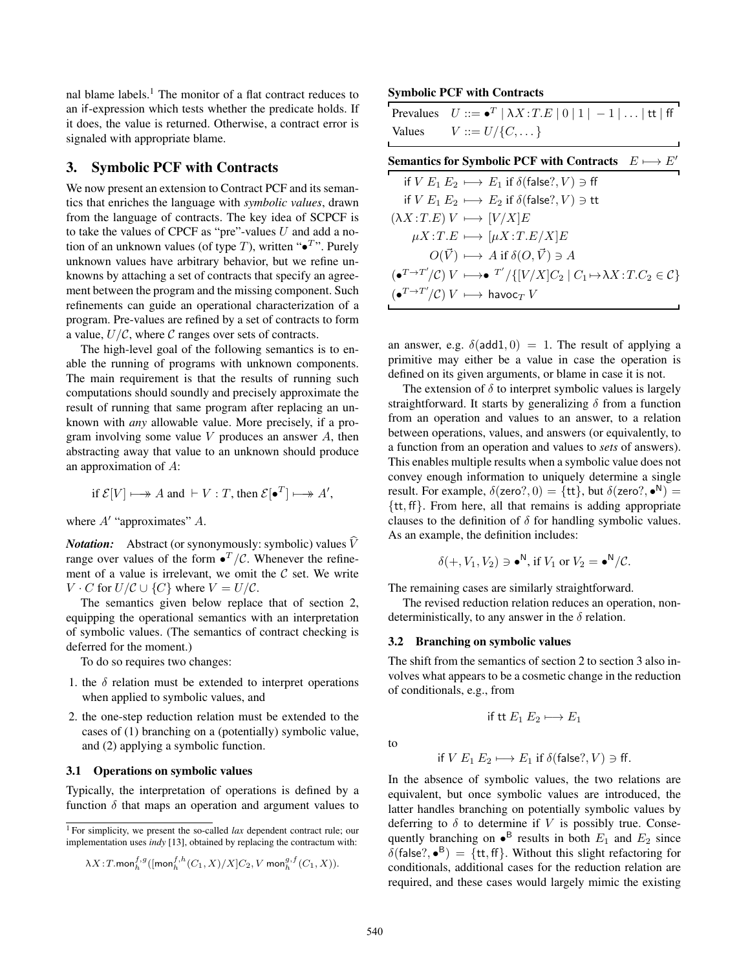nal blame labels.<sup>[1](#page-3-1)</sup> The monitor of a flat contract reduces to an if-expression which tests whether the predicate holds. If it does, the value is returned. Otherwise, a contract error is signaled with appropriate blame.

# <span id="page-3-0"></span>3. Symbolic PCF with Contracts

We now present an extension to Contract PCF and its semantics that enriches the language with *symbolic values*, drawn from the language of contracts. The key idea of SCPCF is to take the values of CPCF as "pre"-values  $U$  and add a notion of an unknown values (of type T), written " $\bullet^T$ ". Purely unknown values have arbitrary behavior, but we refine unknowns by attaching a set of contracts that specify an agreement between the program and the missing component. Such refinements can guide an operational characterization of a program. Pre-values are refined by a set of contracts to form a value,  $U/C$ , where C ranges over sets of contracts.

The high-level goal of the following semantics is to enable the running of programs with unknown components. The main requirement is that the results of running such computations should soundly and precisely approximate the result of running that same program after replacing an unknown with *any* allowable value. More precisely, if a program involving some value  $V$  produces an answer  $A$ , then abstracting away that value to an unknown should produce an approximation of A:

if 
$$
\mathcal{E}[V] \longmapsto A
$$
 and  $\vdash V : T$ , then  $\mathcal{E}[\bullet^T] \longmapsto A'$ ,

where  $A'$  "approximates"  $A$ .

*Notation:* Abstract (or synonymously: symbolic) values  $\hat{V}$ range over values of the form  $\bullet^T/\mathcal{C}$ . Whenever the refinement of a value is irrelevant, we omit the  $C$  set. We write  $V \cdot C$  for  $U/C \cup \{C\}$  where  $V = U/C$ .

The semantics given below replace that of section [2,](#page-2-0) equipping the operational semantics with an interpretation of symbolic values. (The semantics of contract checking is deferred for the moment.)

To do so requires two changes:

- 1. the  $\delta$  relation must be extended to interpret operations when applied to symbolic values, and
- 2. the one-step reduction relation must be extended to the cases of (1) branching on a (potentially) symbolic value, and (2) applying a symbolic function.

#### 3.1 Operations on symbolic values

Typically, the interpretation of operations is defined by a function  $\delta$  that maps an operation and argument values to

<span id="page-3-1"></span><sup>1</sup> For simplicity, we present the so-called *lax* dependent contract rule; our implementation uses *indy* [\[13](#page-17-9)], obtained by replacing the contractum with:

$$
\lambda X\!:\!T\!\text{.mon}^{f,g}_{h}\big([\text{mon}^{f,h}_{h}(C_1,X)/X]C_2,V\text{ mon}^{g,f}_{h}(C_1,X)\big).
$$

## Symbolic PCF with Contracts

| Prevalues $U ::= \bullet^T   \lambda X : T.E   0   1   -1   \dots   \text{tt}   \text{ff}$ |
|--------------------------------------------------------------------------------------------|
| Values $V ::= U / \{C, \dots\}$                                                            |

| Semantics for Symbolic PCF with Contracts $E \mapsto E'$                                                                                          |
|---------------------------------------------------------------------------------------------------------------------------------------------------|
| if $V E_1 E_2 \mapsto E_1$ if $\delta$ (false?, $V$ ) $\ni$ ff                                                                                    |
| if $V E_1 E_2 \mapsto E_2$ if $\delta$ (false?, $V$ ) $\ni$ tt                                                                                    |
| $(\lambda X : T.E) V \longmapsto [V/X]E$                                                                                                          |
| $\mu X : T.E \longmapsto [\mu X : T.E/X]E$                                                                                                        |
| $O(\vec{V}) \longmapsto A$ if $\delta(O, \vec{V}) \ni A$                                                                                          |
| $\left(\bullet^{T\to T'}/\mathcal{C}\right)V \longmapsto \bullet^{T'}/\left\{[V/X]C_2 \mid C_1 \mapsto \lambda X : T.C_2 \in \mathcal{C}\right\}$ |
| $\left(\bullet^{T\to T'}/\mathcal{C}\right)V \longmapsto$ havoc $_TV$                                                                             |

an answer, e.g.  $\delta(\text{add1}, 0) = 1$ . The result of applying a primitive may either be a value in case the operation is defined on its given arguments, or blame in case it is not.

The extension of  $\delta$  to interpret symbolic values is largely straightforward. It starts by generalizing  $\delta$  from a function from an operation and values to an answer, to a relation between operations, values, and answers (or equivalently, to a function from an operation and values to *sets* of answers). This enables multiple results when a symbolic value does not convey enough information to uniquely determine a single result. For example,  $\delta$ (zero?, 0) = {tt}, but  $\delta$ (zero?,  $\bullet^N$ ) = {tt, ff}. From here, all that remains is adding appropriate clauses to the definition of  $\delta$  for handling symbolic values. As an example, the definition includes:

$$
\delta(+, V_1, V_2) \ni \bullet^N, \text{ if } V_1 \text{ or } V_2 = \bullet^N/\mathcal{C}.
$$

The remaining cases are similarly straightforward.

The revised reduction relation reduces an operation, nondeterministically, to any answer in the  $\delta$  relation.

#### 3.2 Branching on symbolic values

The shift from the semantics of section [2](#page-2-0) to section [3](#page-3-0) also involves what appears to be a cosmetic change in the reduction of conditionals, e.g., from

if tt  $E_1 E_2 \mapsto E_1$ 

to

if 
$$
V E_1 E_2 \mapsto E_1
$$
 if  $\delta$ (false?,  $V$ )  $\ni$  ff.

In the absence of symbolic values, the two relations are equivalent, but once symbolic values are introduced, the latter handles branching on potentially symbolic values by deferring to  $\delta$  to determine if V is possibly true. Consequently branching on  $\bullet^B$  results in both  $E_1$  and  $E_2$  since  $\delta$ (false?,  $\bullet^B$ ) = {tt, ff}. Without this slight refactoring for conditionals, additional cases for the reduction relation are required, and these cases would largely mimic the existing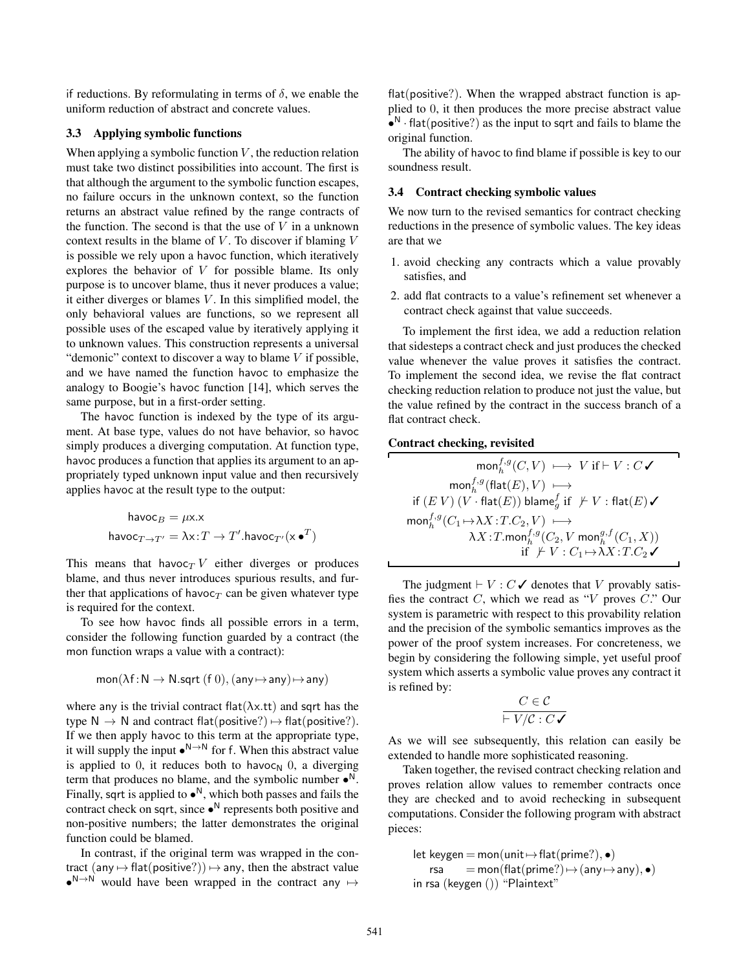if reductions. By reformulating in terms of  $\delta$ , we enable the uniform reduction of abstract and concrete values.

## 3.3 Applying symbolic functions

When applying a symbolic function  $V$ , the reduction relation must take two distinct possibilities into account. The first is that although the argument to the symbolic function escapes, no failure occurs in the unknown context, so the function returns an abstract value refined by the range contracts of the function. The second is that the use of  $V$  in a unknown context results in the blame of  $V$ . To discover if blaming  $V$ is possible we rely upon a havoc function, which iteratively explores the behavior of  $V$  for possible blame. Its only purpose is to uncover blame, thus it never produces a value; it either diverges or blames  $V$ . In this simplified model, the only behavioral values are functions, so we represent all possible uses of the escaped value by iteratively applying it to unknown values. This construction represents a universal "demonic" context to discover a way to blame  $V$  if possible, and we have named the function havoc to emphasize the analogy to Boogie's havoc function [\[14](#page-17-11)], which serves the same purpose, but in a first-order setting.

The havoc function is indexed by the type of its argument. At base type, values do not have behavior, so havoc simply produces a diverging computation. At function type, havoc produces a function that applies its argument to an appropriately typed unknown input value and then recursively applies havoc at the result type to the output:

$$
\begin{aligned} \mathsf{havoc}_B = \mu \mathsf{x}.\mathsf{x} \\ \mathsf{havoc}_{T\to T'} = \lambda \mathsf{x}.\tT \to T'.\mathsf{havoc}_{T'}(\mathsf{x}\bullet^T) \end{aligned}
$$

This means that havoc $TV$  either diverges or produces blame, and thus never introduces spurious results, and further that applications of havoc $<sub>T</sub>$  can be given whatever type</sub> is required for the context.

To see how havoc finds all possible errors in a term, consider the following function guarded by a contract (the mon function wraps a value with a contract):

$$
\mathsf{mon}(\lambda\mathsf{f}\!:\!\mathsf{N}\to\mathsf{N}.\mathsf{sqrt}\;(\mathsf{f}\;0),(\mathsf{any}\!\mapsto\!\mathsf{any})\!\mapsto\!\mathsf{any})
$$

where any is the trivial contract flat( $\lambda x$ .tt) and sqrt has the type  $N \to N$  and contract flat(positive?)  $\mapsto$  flat(positive?). If we then apply havoc to this term at the appropriate type, it will supply the input  $\bullet^{N \to N}$  for f. When this abstract value is applied to 0, it reduces both to havoc<sub>N</sub> 0, a diverging term that produces no blame, and the symbolic number  $\bullet^N$ . Finally, sqrt is applied to  $\bullet^N$ , which both passes and fails the contract check on sqrt, since  $\bullet^N$  represents both positive and non-positive numbers; the latter demonstrates the original function could be blamed.

In contrast, if the original term was wrapped in the contract (any  $\mapsto$  flat(positive?))  $\mapsto$  any, then the abstract value  $\bullet^{N\rightarrow N}$  would have been wrapped in the contract any  $\mapsto$ 

flat(positive?). When the wrapped abstract function is applied to 0, it then produces the more precise abstract value  $\bullet^N$  · flat(positive?) as the input to sqrt and fails to blame the original function.

The ability of havoc to find blame if possible is key to our soundness result.

## <span id="page-4-0"></span>3.4 Contract checking symbolic values

We now turn to the revised semantics for contract checking reductions in the presence of symbolic values. The key ideas are that we

- 1. avoid checking any contracts which a value provably satisfies, and
- 2. add flat contracts to a value's refinement set whenever a contract check against that value succeeds.

To implement the first idea, we add a reduction relation that sidesteps a contract check and just produces the checked value whenever the value proves it satisfies the contract. To implement the second idea, we revise the flat contract checking reduction relation to produce not just the value, but the value refined by the contract in the success branch of a flat contract check.

## Contract checking, revisited

monf,g <sup>h</sup> (C, V ) !−→ V if & V : C ✓ monf,g <sup>h</sup> (flat(E), V ) !−→ if (E V ) (<sup>V</sup> · flat(E)) blame<sup>f</sup> <sup>g</sup> if \* & V : flat(E) ✓ monf,g <sup>h</sup> (C<sup>1</sup> !→λX :T.C2, V ) !−→ λX :T.monf,g <sup>h</sup> (C2, V mong,f <sup>h</sup> (C1, X)) if \* & V : C<sup>1</sup> !→λX :T.C<sup>2</sup> ✓

The judgment  $\vdash V : C \checkmark$  denotes that V provably satisfies the contract  $C$ , which we read as " $V$  proves  $C$ ." Our system is parametric with respect to this provability relation and the precision of the symbolic semantics improves as the power of the proof system increases. For concreteness, we begin by considering the following simple, yet useful proof system which asserts a symbolic value proves any contract it is refined by:

$$
\cfrac{C \in \mathcal{C}}{\vdash V / \mathcal{C} : C \blacktriangledown}
$$

As we will see subsequently, this relation can easily be extended to handle more sophisticated reasoning.

Taken together, the revised contract checking relation and proves relation allow values to remember contracts once they are checked and to avoid rechecking in subsequent computations. Consider the following program with abstract pieces:

$$
\begin{array}{ll}\text{let keygen} = \text{mon}(\text{unit} \mapsto \text{flat}(\text{prime}?), \bullet) \\ \text{rsa} &= \text{mon}(\text{flat}(\text{prime}?) \mapsto (\text{any} \mapsto \text{any}), \bullet) \\ \text{in rsa (keygen () )} \text{ "Plaintext"}\end{array}
$$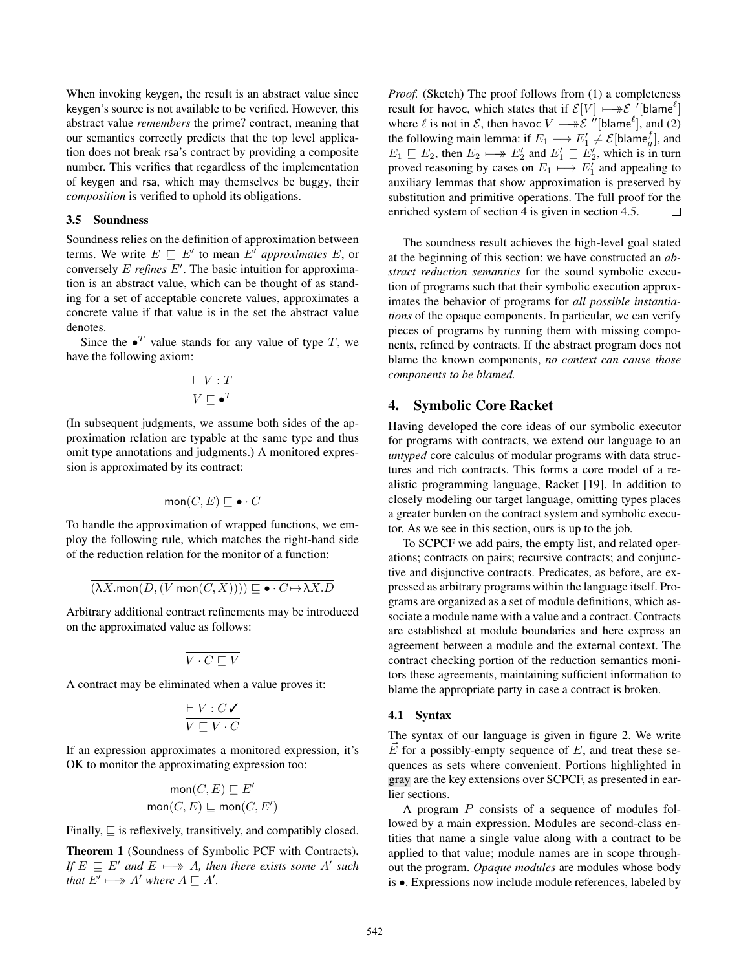When invoking keygen, the result is an abstract value since keygen's source is not available to be verified. However, this abstract value *remembers* the prime? contract, meaning that our semantics correctly predicts that the top level application does not break rsa's contract by providing a composite number. This verifies that regardless of the implementation of keygen and rsa, which may themselves be buggy, their *composition* is verified to uphold its obligations.

## <span id="page-5-0"></span>3.5 Soundness

Soundness relies on the definition of approximation between terms. We write  $E \subseteq E'$  to mean E' *approximates* E, or conversely E *refines* E" . The basic intuition for approximation is an abstract value, which can be thought of as standing for a set of acceptable concrete values, approximates a concrete value if that value is in the set the abstract value denotes.

Since the  $\bullet^T$  value stands for any value of type T, we have the following axiom:

$$
\frac{\vdash V : T}{V \sqsubseteq \bullet^T}
$$

(In subsequent judgments, we assume both sides of the approximation relation are typable at the same type and thus omit type annotations and judgments.) A monitored expression is approximated by its contract:

$$
\overline{\mathrm{mon}(C,E) \sqsubseteq \bullet \cdot C}
$$

To handle the approximation of wrapped functions, we employ the following rule, which matches the right-hand side of the reduction relation for the monitor of a function:

 $(\lambda X. \text{mon}(D, (V \text{ mon}(C, X)))) \sqsubseteq \bullet \cdot C \mapsto \lambda X. D$ 

Arbitrary additional contract refinements may be introduced on the approximated value as follows:

$$
\overline{V\cdot C\sqsubseteq V}
$$

A contract may be eliminated when a value proves it:

$$
\frac{\vdash V : C \blacktriangleleft}{V \sqsubseteq V \cdot C}
$$

If an expression approximates a monitored expression, it's OK to monitor the approximating expression too:

$$
\frac{\text{mon}(C, E) \sqsubseteq E'}{\text{mon}(C, E) \sqsubseteq \text{mon}(C, E')}
$$

Finally,  $\sqsubseteq$  is reflexively, transitively, and compatibly closed.

Theorem 1 (Soundness of Symbolic PCF with Contracts). *If*  $E \subseteq E'$  *and*  $E \longmapsto A$ *, then there exists some* A' *such that*  $E' \longmapsto A'$  *where*  $A \sqsubseteq A'$ *.* 

*Proof.* (Sketch) The proof follows from (1) a completeness result for havoc, which states that if  $\mathcal{E}[V] \longmapsto \mathcal{E}$  "[blame<sup> $\ell$ </sup>] where  $\ell$  is not in  $\mathcal{E}$ , then havoc  $V \longmapsto \mathcal{E}''$ [blame<sup> $\ell$ </sup>], and (2) the following main lemma: if  $E_1 \longmapsto E'_1 \neq \mathcal{E}[\text{blame}_g^f]$ , and  $E_1 \sqsubseteq E_2$ , then  $E_2 \longmapsto E'_2$  and  $E'_1 \sqsubseteq E'_2$ , which is in turn proved reasoning by cases on  $E_1 \longmapsto E'_1$  and appealing to auxiliary lemmas that show approximation is preserved by substitution and primitive operations. The full proof for the enriched system of section [4](#page-5-1) is given in section [4.5.](#page-9-0)  $\Box$ 

The soundness result achieves the high-level goal stated at the beginning of this section: we have constructed an *abstract reduction semantics* for the sound symbolic execution of programs such that their symbolic execution approximates the behavior of programs for *all possible instantiations* of the opaque components. In particular, we can verify pieces of programs by running them with missing components, refined by contracts. If the abstract program does not blame the known components, *no context can cause those components to be blamed.*

## <span id="page-5-1"></span>4. Symbolic Core Racket

Having developed the core ideas of our symbolic executor for programs with contracts, we extend our language to an *untyped* core calculus of modular programs with data structures and rich contracts. This forms a core model of a realistic programming language, Racket [[19\]](#page-17-6). In addition to closely modeling our target language, omitting types places a greater burden on the contract system and symbolic executor. As we see in this section, ours is up to the job.

To SCPCF we add pairs, the empty list, and related operations; contracts on pairs; recursive contracts; and conjunctive and disjunctive contracts. Predicates, as before, are expressed as arbitrary programs within the language itself. Programs are organized as a set of module definitions, which associate a module name with a value and a contract. Contracts are established at module boundaries and here express an agreement between a module and the external context. The contract checking portion of the reduction semantics monitors these agreements, maintaining sufficient information to blame the appropriate party in case a contract is broken.

#### 4.1 Syntax

The syntax of our language is given in figure [2.](#page-6-0) We write  $\vec{E}$  for a possibly-empty sequence of E, and treat these sequences as sets where convenient. Portions highlighted in gray are the key extensions over SCPCF, as presented in earlier sections.

A program  $P$  consists of a sequence of modules followed by a main expression. Modules are second-class entities that name a single value along with a contract to be applied to that value; module names are in scope throughout the program. *Opaque modules* are modules whose body is •. Expressions now include module references, labeled by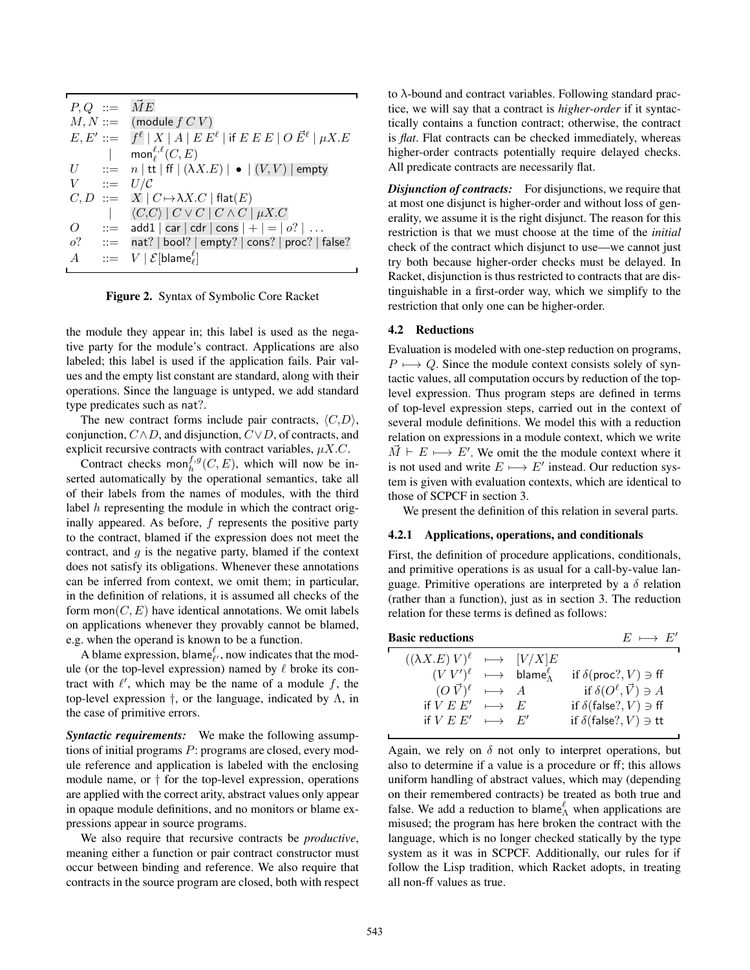|                  | $P,Q ::= \overrightarrow{M}E$                                                                           |
|------------------|---------------------------------------------------------------------------------------------------------|
|                  | $M, N ::=$ (module $f C V$ )                                                                            |
|                  | $E, E' ::= \int f^{\ell}  X  A  E E^{\ell}$   if $E E E  O \vec{E}^{\ell}   \mu X.E$                    |
|                  | mon ${}^{\ell,\ell}_\ell(C,E)$                                                                          |
|                  | $U$ ::= $n \mid \text{tt} \mid \text{ff} \mid (\lambda X.E) \mid \bullet \mid (V, V) \mid \text{empty}$ |
| $V$ ::= $U/C$    |                                                                                                         |
|                  | $C, D ::= X   C \mapsto \lambda X.C   \text{flat}(E)$                                                   |
|                  | $\langle C, C \rangle \mid C \vee C \mid C \wedge C \mid \mu X.C$                                       |
| $\overline{O}$   | $ ::=$ add1   car   cdr   cons   +   =   o?                                                             |
|                  | $o?$ ::= nat?   bool?   empty?   cons?   proc?   false?                                                 |
| $\boldsymbol{A}$ | $\ ::= \quad V \mid \mathcal{E}[\text{blame}_{\ell}^{\ell}]$                                            |
|                  |                                                                                                         |

<span id="page-6-0"></span>Figure 2. Syntax of Symbolic Core Racket

the module they appear in; this label is used as the negative party for the module's contract. Applications are also labeled; this label is used if the application fails. Pair values and the empty list constant are standard, along with their operations. Since the language is untyped, we add standard type predicates such as nat?.

The new contract forms include pair contracts,  $\langle C,D \rangle$ , conjunction,  $C \wedge D$ , and disjunction,  $C \vee D$ , of contracts, and explicit recursive contracts with contract variables,  $\mu X.C.$ 

Contract checks mon $f_h^{f,g}(C, E)$ , which will now be inserted automatically by the operational semantics, take all of their labels from the names of modules, with the third label h representing the module in which the contract originally appeared. As before, f represents the positive party to the contract, blamed if the expression does not meet the contract, and  $q$  is the negative party, blamed if the context does not satisfy its obligations. Whenever these annotations can be inferred from context, we omit them; in particular, in the definition of relations, it is assumed all checks of the form mon $(C, E)$  have identical annotations. We omit labels on applications whenever they provably cannot be blamed, e.g. when the operand is known to be a function.

A blame expression, blame  $\ell_{\ell}$ , now indicates that the module (or the top-level expression) named by  $\ell$  broke its contract with  $\ell'$ , which may be the name of a module f, the top-level expression  $\dagger$ , or the language, indicated by Λ, in the case of primitive errors.

*Syntactic requirements:* We make the following assumptions of initial programs P: programs are closed, every module reference and application is labeled with the enclosing module name, or  $\dagger$  for the top-level expression, operations are applied with the correct arity, abstract values only appear in opaque module definitions, and no monitors or blame expressions appear in source programs.

We also require that recursive contracts be *productive*, meaning either a function or pair contract constructor must occur between binding and reference. We also require that contracts in the source program are closed, both with respect to  $\lambda$ -bound and contract variables. Following standard practice, we will say that a contract is *higher-order* if it syntactically contains a function contract; otherwise, the contract is *flat*. Flat contracts can be checked immediately, whereas higher-order contracts potentially require delayed checks. All predicate contracts are necessarily flat.

**Disjunction of contracts:** For disjunctions, we require that at most one disjunct is higher-order and without loss of generality, we assume it is the right disjunct. The reason for this restriction is that we must choose at the time of the *initial* check of the contract which disjunct to use—we cannot just try both because higher-order checks must be delayed. In Racket, disjunction is thus restricted to contracts that are distinguishable in a first-order way, which we simplify to the restriction that only one can be higher-order.

## 4.2 Reductions

Evaluation is modeled with one-step reduction on programs,  $P \longmapsto Q$ . Since the module context consists solely of syntactic values, all computation occurs by reduction of the toplevel expression. Thus program steps are defined in terms of top-level expression steps, carried out in the context of several module definitions. We model this with a reduction relation on expressions in a module context, which we write  $\vec{M} \vdash E \longmapsto E'$ . We omit the the module context where it is not used and write  $E \mapsto E'$  instead. Our reduction system is given with evaluation contexts, which are identical to those of SCPCF in section [3.](#page-3-0)

We present the definition of this relation in several parts.

#### 4.2.1 Applications, operations, and conditionals

First, the definition of procedure applications, conditionals, and primitive operations is as usual for a call-by-value language. Primitive operations are interpreted by a  $\delta$  relation (rather than a function), just as in section [3.](#page-3-0) The reduction relation for these terms is defined as follows:

| <b>Basic reductions</b>                           |                                                              | $E \mapsto E'$                       |
|---------------------------------------------------|--------------------------------------------------------------|--------------------------------------|
| $((\lambda X.E) V)^{\ell} \longrightarrow [V/X]E$ |                                                              |                                      |
|                                                   | $(VV')^{\ell} \longrightarrow \text{blame}^{\ell}_{\Lambda}$ | if $\delta$ (proc?, $V$ ) $\ni$ ff   |
| $(O\vec{V})^{\ell} \rightarrow A$                 |                                                              | if $\delta(O^{\ell}, \vec{V}) \ni A$ |
| if $V E E' \longrightarrow E$                     |                                                              | if $\delta$ (false?, $V$ ) $\ni$ ff  |
| if $V E E' \longrightarrow E'$                    |                                                              | if $\delta$ (false?, $V$ ) $\ni$ tt  |
|                                                   |                                                              |                                      |

Again, we rely on  $\delta$  not only to interpret operations, but also to determine if a value is a procedure or ff; this allows uniform handling of abstract values, which may (depending on their remembered contracts) be treated as both true and false. We add a reduction to blame<sub> $\Lambda$ </sub> when applications are misused; the program has here broken the contract with the language, which is no longer checked statically by the type system as it was in SCPCF. Additionally, our rules for if follow the Lisp tradition, which Racket adopts, in treating all non-ff values as true.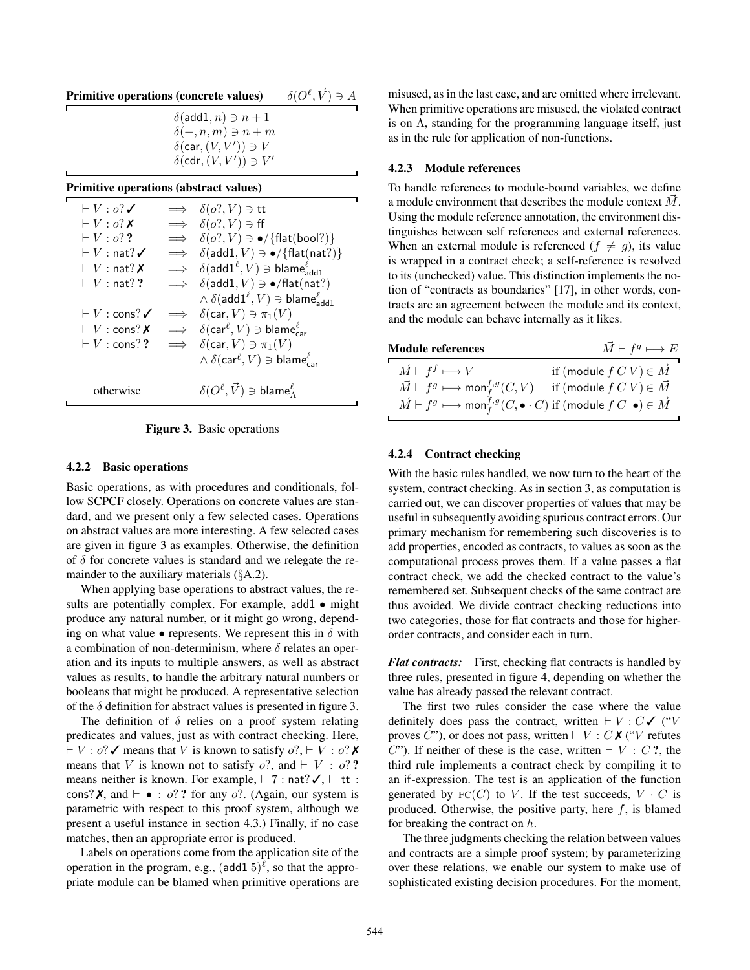| <b>Primitive operations (concrete values)</b> | $\delta(O^{\ell}, \vec{V}) \ni A$ |
|-----------------------------------------------|-----------------------------------|
|                                               |                                   |

#### Primitive operations (abstract values)

| $\vdash V : \alpha?$                     |            | $\implies \delta(o?, V) \ni \text{tt}$                                           |
|------------------------------------------|------------|----------------------------------------------------------------------------------|
| $\vdash V : o? X$                        |            | $\implies \delta(o? V) \ni \text{ff}$                                            |
| $\vdash V : o$ ??                        | $\implies$ | $\delta(o?$ , $V$ ) $\ni \bullet$ /{flat(bool?)}                                 |
| $\vdash V : \mathsf{nat?} \checkmark$    | $\implies$ | $\delta(\text{add1}, V) \ni \bullet / \{\text{flat}(\text{nat?})\}$              |
| $\vdash V : \mathsf{nat?} \, \mathsf{X}$ |            | $\implies$ $\delta(\text{add1}^{\ell}, V) \ni \text{blame}_{\text{add1}}^{\ell}$ |
| $\vdash V:\mathsf{nat}??$                | $\implies$ | $\delta(\text{add1}, V) \ni \bullet/\text{flat}(\text{nat?})$                    |
|                                          |            | $\wedge \delta(\mathsf{add1}^\ell, V) \ni \mathsf{blame}^\ell_{\mathsf{add1}}$   |
| $\vdash V : \mathsf{cons}?\checkmark$    | $\implies$ | $\delta(\text{car}, V) \ni \pi_1(V)$                                             |
| $\vdash V : \mathsf{cons}?X$             |            | $\implies \delta(\text{car}^{\ell}, V) \ni \text{blame}_{\text{car}}^{\ell}$     |
| $\vdash V : \mathsf{cons}?\mathsf{?}$    |            | $\implies \delta(\text{car}, V) \ni \pi_1(V)$                                    |
|                                          |            | $\wedge \delta(\text{car}^{\ell}, V) \ni \text{blame}_{\text{car}}^{\ell}$       |
| otherwise                                |            | $\delta(O^{\ell}, \vec{V}) \ni \text{blame}^{\ell}_{\Lambda}$                    |

<span id="page-7-0"></span>Figure 3. Basic operations

#### 4.2.2 Basic operations

Basic operations, as with procedures and conditionals, follow SCPCF closely. Operations on concrete values are standard, and we present only a few selected cases. Operations on abstract values are more interesting. A few selected cases are given in figure [3](#page-7-0) as examples. Otherwise, the definition of  $\delta$  for concrete values is standard and we relegate the remainder to the auxiliary materials (§[A.2](#page-0-1)).

When applying base operations to abstract values, the results are potentially complex. For example, add1 • might produce any natural number, or it might go wrong, depending on what value  $\bullet$  represents. We represent this in  $\delta$  with a combination of non-determinism, where  $\delta$  relates an operation and its inputs to multiple answers, as well as abstract values as results, to handle the arbitrary natural numbers or booleans that might be produced. A representative selection of the  $\delta$  definition for abstract values is presented in figure [3.](#page-7-0)

The definition of  $\delta$  relies on a proof system relating predicates and values, just as with contract checking. Here,  $\vdash V : o?$  ∕ means that V is known to satisfy  $o?$ ,  $\vdash V : o?$  × means that V is known not to satisfy  $o$ ?, and  $\vdash$  V :  $o$ ?? means neither is known. For example,  $\vdash$  7 : nat?  $\checkmark$ ,  $\vdash$  tt : cons?  $X$ , and  $\vdash \bullet : o$ ? ? for any o?. (Again, our system is parametric with respect to this proof system, although we present a useful instance in section [4.3](#page-9-1).) Finally, if no case matches, then an appropriate error is produced.

Labels on operations come from the application site of the operation in the program, e.g.,  $(\text{add } 15)^{\ell}$ , so that the appropriate module can be blamed when primitive operations are

misused, as in the last case, and are omitted where irrelevant. When primitive operations are misused, the violated contract is on  $\Lambda$ , standing for the programming language itself, just as in the rule for application of non-functions.

## 4.2.3 Module references

To handle references to module-bound variables, we define a module environment that describes the module context  $\vec{M}$ . Using the module reference annotation, the environment distinguishes between self references and external references. When an external module is referenced  $(f \neq g)$ , its value is wrapped in a contract check; a self-reference is resolved to its (unchecked) value. This distinction implements the notion of "contracts as boundaries" [[17\]](#page-17-0), in other words, contracts are an agreement between the module and its context, and the module can behave internally as it likes.

| <b>Module references</b>                                                                                        | $\vec{M} \vdash f^g \longmapsto E$        |
|-----------------------------------------------------------------------------------------------------------------|-------------------------------------------|
| $\vec{M} \vdash f^f \longmapsto V$                                                                              | if (module $f\,C\,V$ ) $\in \vec{M}$      |
| $\vec{M} \vdash f^g \longmapsto \text{mon}_f^{f,g}(C, V)$                                                       | if (module $f C V \in \overrightarrow{M}$ |
| $\vec{M} \vdash f^g \longmapsto \text{mon}_f^{f,g}(C, \bullet \cdot C)$ if (module $f$ $C \bullet) \in \vec{M}$ |                                           |

#### 4.2.4 Contract checking

With the basic rules handled, we now turn to the heart of the system, contract checking. As in section [3](#page-3-0), as computation is carried out, we can discover properties of values that may be useful in subsequently avoiding spurious contract errors. Our primary mechanism for remembering such discoveries is to add properties, encoded as contracts, to values as soon as the computational process proves them. If a value passes a flat contract check, we add the checked contract to the value's remembered set. Subsequent checks of the same contract are thus avoided. We divide contract checking reductions into two categories, those for flat contracts and those for higherorder contracts, and consider each in turn.

*Flat contracts:* First, checking flat contracts is handled by three rules, presented in figure [4,](#page-8-0) depending on whether the value has already passed the relevant contract.

The first two rules consider the case where the value definitely does pass the contract, written  $\vdash V : C \checkmark$  ("V proves C"), or does not pass, written  $\vdash V : C \times C'$  ("V refutes C"). If neither of these is the case, written  $\vdash V : C$ ?, the third rule implements a contract check by compiling it to an if-expression. The test is an application of the function generated by  $FC(C)$  to V. If the test succeeds,  $V \cdot C$  is produced. Otherwise, the positive party, here  $f$ , is blamed for breaking the contract on  $h$ .

The three judgments checking the relation between values and contracts are a simple proof system; by parameterizing over these relations, we enable our system to make use of sophisticated existing decision procedures. For the moment,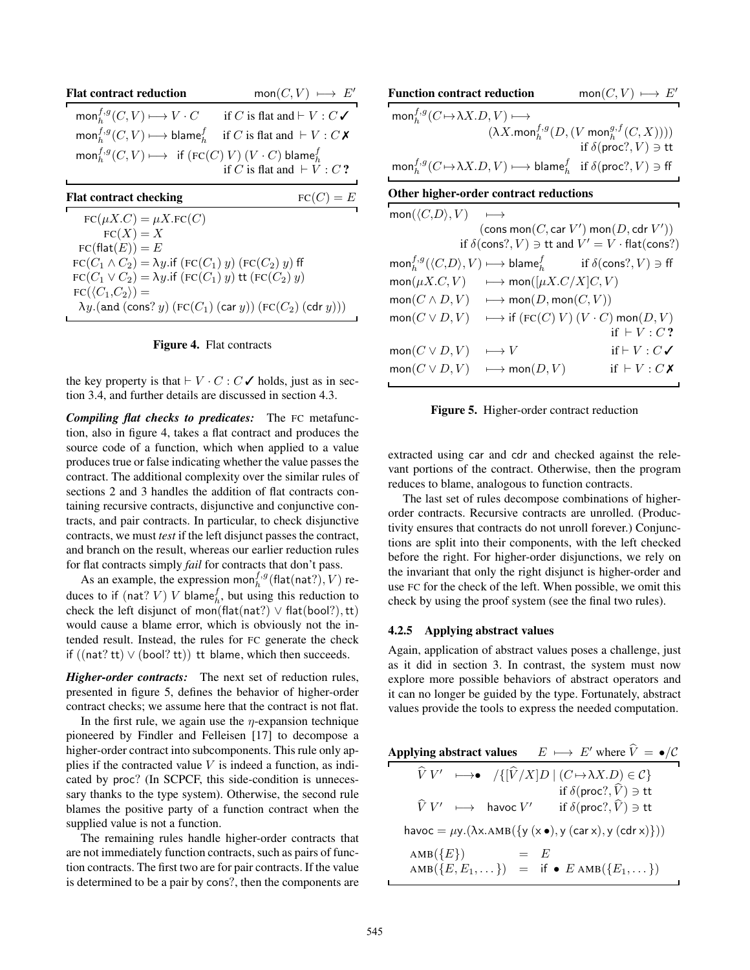| <b>Flat contract reduction</b>                                                                                    | $mon(C, V) \longmapsto E'$                 |
|-------------------------------------------------------------------------------------------------------------------|--------------------------------------------|
| $\text{mon}_h^{f,g}(C, V) \longmapsto V \cdot C$                                                                  | if C is flat and $\vdash V : C \checkmark$ |
| $\text{mon}_h^{f,g}(C, V) \longrightarrow \text{blame}_h^f$ if C is flat and $\vdash V : C$ X                     |                                            |
| $\operatorname{mon}_h^{f,g}(C,V) \longmapsto \operatorname{if} (\operatorname{FC}(C) V) (V \cdot C)$ blame $_h^f$ | if C is flat and $\vdash V : C$ ?          |
| <b>Flat contract checking</b>                                                                                     | $FC(C) = E$                                |
| $FC(\mu X.C) = \mu X.FC(C)$                                                                                       |                                            |
| $FC(X) = X$                                                                                                       |                                            |
| $FC(\text{flat}(E)) = E$                                                                                          |                                            |

| $FC(C_1 \wedge C_2) = \lambda y$ if $(FC(C_1) y) (FC(C_2) y)$ ff                 |
|----------------------------------------------------------------------------------|
| $FC(C_1 \vee C_2) = \lambda y$ if $(FC(C_1) y)$ tt $(FC(C_2) y)$                 |
| $FC(\langle C_1, C_2 \rangle) =$                                                 |
| $\lambda y.$ (and (cons? $y)$ (FC( $C_1$ ) (car $y)$ ) (FC( $C_2$ ) (cdr $y$ ))) |

#### <span id="page-8-0"></span>Figure 4. Flat contracts

the key property is that  $\vdash V \cdot C : C \checkmark$  holds, just as in section [3.4](#page-4-0), and further details are discussed in section [4.3](#page-9-1).

*Compiling flat checks to predicates:* The FC metafunction, also in figure [4,](#page-8-0) takes a flat contract and produces the source code of a function, which when applied to a value produces true or false indicating whether the value passes the contract. The additional complexity over the similar rules of sections [2](#page-2-0) and [3](#page-3-0) handles the addition of flat contracts containing recursive contracts, disjunctive and conjunctive contracts, and pair contracts. In particular, to check disjunctive contracts, we must *test* if the left disjunct passes the contract, and branch on the result, whereas our earlier reduction rules for flat contracts simply *fail* for contracts that don't pass.

As an example, the expression mon<sup>f,g</sup> (flat(nat?), V) reduces to if (nat? V) V blame $_h^f$ , but using this reduction to check the left disjunct of mon(flat(nat?)  $\vee$  flat(bool?), tt) would cause a blame error, which is obviously not the intended result. Instead, the rules for FC generate the check if  $((nat?tt) \vee (bool?tt))$  tt blame, which then succeeds.

*Higher-order contracts:* The next set of reduction rules, presented in figure [5](#page-8-1), defines the behavior of higher-order contract checks; we assume here that the contract is not flat.

In the first rule, we again use the  $\eta$ -expansion technique pioneered by Findler and Felleisen [[17\]](#page-17-0) to decompose a higher-order contract into subcomponents. This rule only applies if the contracted value  $V$  is indeed a function, as indicated by proc? (In SCPCF, this side-condition is unnecessary thanks to the type system). Otherwise, the second rule blames the positive party of a function contract when the supplied value is not a function.

The remaining rules handle higher-order contracts that are not immediately function contracts, such as pairs of function contracts. The first two are for pair contracts. If the value is determined to be a pair by cons?, then the components are

| <b>Function contract reduction</b>                                                                                    | $mon(C, V) \longmapsto E'$                                          |
|-----------------------------------------------------------------------------------------------------------------------|---------------------------------------------------------------------|
| $\text{mon}_h^{f,g}(C \mapsto \lambda X.D, V) \longmapsto$                                                            |                                                                     |
|                                                                                                                       | $(\lambda X. \text{mon}_h^{f,g}(D, (V \text{ mon}_h^{g,f}(C, X))))$ |
|                                                                                                                       | if $\delta$ (proc?, $V$ ) $\ni$ tt                                  |
| $\text{mon}_h^{f,g}(C \mapsto \lambda X.D, V) \longmapsto \text{blame}_h^f$ if $\delta(\text{proc}, V) \ni \text{ff}$ |                                                                     |

## Other higher-order contract reductions

| $\mathsf{mon}(\langle C,D\rangle,V) \quad \longmapsto$ |                                                                              |                                                                                                                      |
|--------------------------------------------------------|------------------------------------------------------------------------------|----------------------------------------------------------------------------------------------------------------------|
|                                                        |                                                                              | $(\text{cons mon}(C, \text{car } V') \text{ mon}(D, \text{cdr } V'))$                                                |
|                                                        |                                                                              | if $\delta$ (cons?, $V$ ) $\Rightarrow$ tt and $V' = V \cdot$ flat(cons?)                                            |
|                                                        |                                                                              | $\text{mon}_h^{f,g}(\langle C,D\rangle, V) \longmapsto \text{blame}_h^f$ if $\delta(\text{cons}^?, V) \ni \text{ff}$ |
|                                                        | $\text{mon}(\mu X.C, V) \longrightarrow \text{mon}([\mu X.C/X]C, V)$         |                                                                                                                      |
|                                                        | $\text{mon}(C \land D, V) \quad \longmapsto \text{mon}(D, \text{mon}(C, V))$ |                                                                                                                      |
|                                                        |                                                                              | $\text{mon}(C \vee D, V) \longrightarrow \text{if } (\text{FC}(C) V) (V \cdot C) \text{ mon}(D, V)$                  |
|                                                        |                                                                              | if $\vdash V : C$ ?                                                                                                  |
| $\mathsf{mon}(C \vee D, V)$                            | $\longmapsto V$                                                              | if $\vdash V : C \checkmark$                                                                                         |
|                                                        | $\mathsf{mon}(C \vee D, V) \quad \longmapsto \mathsf{mon}(D, V)$             | if $\vdash V : C X$                                                                                                  |
|                                                        |                                                                              |                                                                                                                      |

<span id="page-8-1"></span>Figure 5. Higher-order contract reduction

extracted using car and cdr and checked against the relevant portions of the contract. Otherwise, then the program reduces to blame, analogous to function contracts.

The last set of rules decompose combinations of higherorder contracts. Recursive contracts are unrolled. (Productivity ensures that contracts do not unroll forever.) Conjunctions are split into their components, with the left checked before the right. For higher-order disjunctions, we rely on the invariant that only the right disjunct is higher-order and use FC for the check of the left. When possible, we omit this check by using the proof system (see the final two rules).

## 4.2.5 Applying abstract values

Again, application of abstract values poses a challenge, just as it did in section [3.](#page-3-0) In contrast, the system must now explore more possible behaviors of abstract operators and it can no longer be guided by the type. Fortunately, abstract values provide the tools to express the needed computation.

| <b>Applying abstract values</b>                  | $E \mapsto E'$ where $V = \bullet/C$                                                                                              |
|--------------------------------------------------|-----------------------------------------------------------------------------------------------------------------------------------|
|                                                  | $\widehat{V} V' \longmapsto \longrightarrow \longrightarrow \{ [\widehat{V}/X] D \mid (C \mapsto \lambda X.D) \in \mathcal{C} \}$ |
|                                                  | if $\delta(\mathsf{proc}?, \widehat{V}) \ni \mathsf{tt}$                                                                          |
| $\widehat{V}V' \longrightarrow \text{havoc } V'$ | if $\delta$ (proc?, $\widehat{V}$ ) $\ni$ tt                                                                                      |
|                                                  | havoc = $\mu$ y.( $\lambda$ x.AMB({y(x •), y (car x), y (cdr x)}))                                                                |
| AMB $({E})$                                      | $=$ $E$                                                                                                                           |
|                                                  | AMB $(\{E, E_1, \dots \})$ = if $\bullet$ E AMB $(\{E_1, \dots \})$                                                               |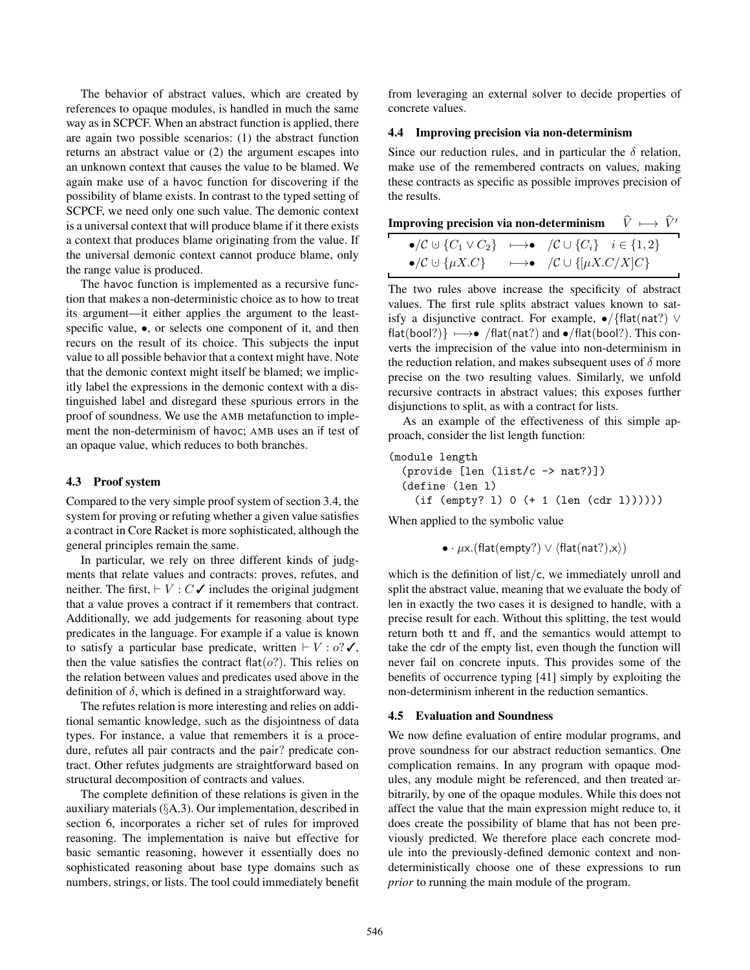The behavior of abstract values, which are created by references to opaque modules, is handled in much the same way as in SCPCF. When an abstract function is applied, there are again two possible scenarios: (1) the abstract function returns an abstract value or (2) the argument escapes into an unknown context that causes the value to be blamed. We again make use of a havoc function for discovering if the possibility of blame exists. In contrast to the typed setting of SCPCF, we need only one such value. The demonic context is a universal context that will produce blame if it there exists a context that produces blame originating from the value. If the universal demonic context cannot produce blame, only the range value is produced.

The havoc function is implemented as a recursive function that makes a non-deterministic choice as to how to treat its argument—it either applies the argument to the leastspecific value,  $\bullet$ , or selects one component of it, and then recurs on the result of its choice. This subjects the input value to all possible behavior that a context might have. Note that the demonic context might itself be blamed; we implicitly label the expressions in the demonic context with a distinguished label and disregard these spurious errors in the proof of soundness. We use the AMB metafunction to implement the non-determinism of havoc; AMB uses an if test of an opaque value, which reduces to both branches.

## <span id="page-9-1"></span>4.3 Proof system

Compared to the very simple proof system of section [3.4](#page-4-0), the system for proving or refuting whether a given value satisfies a contract in Core Racket is more sophisticated, although the general principles remain the same.

In particular, we rely on three different kinds of judgments that relate values and contracts: proves, refutes, and neither. The first,  $\vdash V : C \checkmark$  includes the original judgment that a value proves a contract if it remembers that contract. Additionally, we add judgements for reasoning about type predicates in the language. For example if a value is known to satisfy a particular base predicate, written  $\vdash V : o? \checkmark$ , then the value satisfies the contract flat $(o)$ . This relies on the relation between values and predicates used above in the definition of  $\delta$ , which is defined in a straightforward way.

The refutes relation is more interesting and relies on additional semantic knowledge, such as the disjointness of data types. For instance, a value that remembers it is a procedure, refutes all pair contracts and the pair? predicate contract. Other refutes judgments are straightforward based on structural decomposition of contracts and values.

The complete definition of these relations is given in the auxiliary materials (§[A.3\)](#page-0-2). Our implementation, described in section [6](#page-13-0), incorporates a richer set of rules for improved reasoning. The implementation is naive but effective for basic semantic reasoning, however it essentially does no sophisticated reasoning about base type domains such as numbers, strings, or lists. The tool could immediately benefit

from leveraging an external solver to decide properties of concrete values.

## 4.4 Improving precision via non-determinism

Since our reduction rules, and in particular the  $\delta$  relation, make use of the remembered contracts on values, making these contracts as specific as possible improves precision of the results.

| Improving precision via non-determinism $\hat{V} \,\longmapsto\, \hat{V}'$                                                 |  |  |
|----------------------------------------------------------------------------------------------------------------------------|--|--|
| $\bullet/\mathcal{C} \cup \{C_1 \vee C_2\} \longleftrightarrow \bullet \quad/\mathcal{C} \cup \{C_i\} \quad i \in \{1,2\}$ |  |  |
| $\bullet/\mathcal{C} \cup \{\mu X.C\} \longleftrightarrow \bullet \quad/\mathcal{C} \cup \{\mu X.C/X\}C\}$                 |  |  |

The two rules above increase the specificity of abstract values. The first rule splits abstract values known to satisfy a disjunctive contract. For example,  $\bullet$ /{flat(nat?)  $\vee$  $flat(bool?) \rightarrow \bullet$  /flat(nat?) and  $\bullet$ /flat(bool?). This converts the imprecision of the value into non-determinism in the reduction relation, and makes subsequent uses of  $\delta$  more precise on the two resulting values. Similarly, we unfold recursive contracts in abstract values; this exposes further disjunctions to split, as with a contract for lists.

As an example of the effectiveness of this simple approach, consider the list length function:

```
(module length
```
(provide [len (list/c -> nat?)]) (define (len l)  $(if (empty? 1) 0 (+ 1 (len (cdr 1))))))$ 

When applied to the symbolic value

$$
\bullet \cdot \mu \times . (\mathsf{flat}(\mathsf{empty?}) \vee \langle \mathsf{flat}(\mathsf{nat?}), \mathsf{x} \rangle)
$$

which is the definition of  $list/c$ , we immediately unroll and split the abstract value, meaning that we evaluate the body of len in exactly the two cases it is designed to handle, with a precise result for each. Without this splitting, the test would return both tt and ff, and the semantics would attempt to take the cdr of the empty list, even though the function will never fail on concrete inputs. This provides some of the benefits of occurrence typing [\[41\]](#page-17-12) simply by exploiting the non-determinism inherent in the reduction semantics.

#### <span id="page-9-0"></span>4.5 Evaluation and Soundness

We now define evaluation of entire modular programs, and prove soundness for our abstract reduction semantics. One complication remains. In any program with opaque modules, any module might be referenced, and then treated arbitrarily, by one of the opaque modules. While this does not affect the value that the main expression might reduce to, it does create the possibility of blame that has not been previously predicted. We therefore place each concrete module into the previously-defined demonic context and nondeterministically choose one of these expressions to run *prior* to running the main module of the program.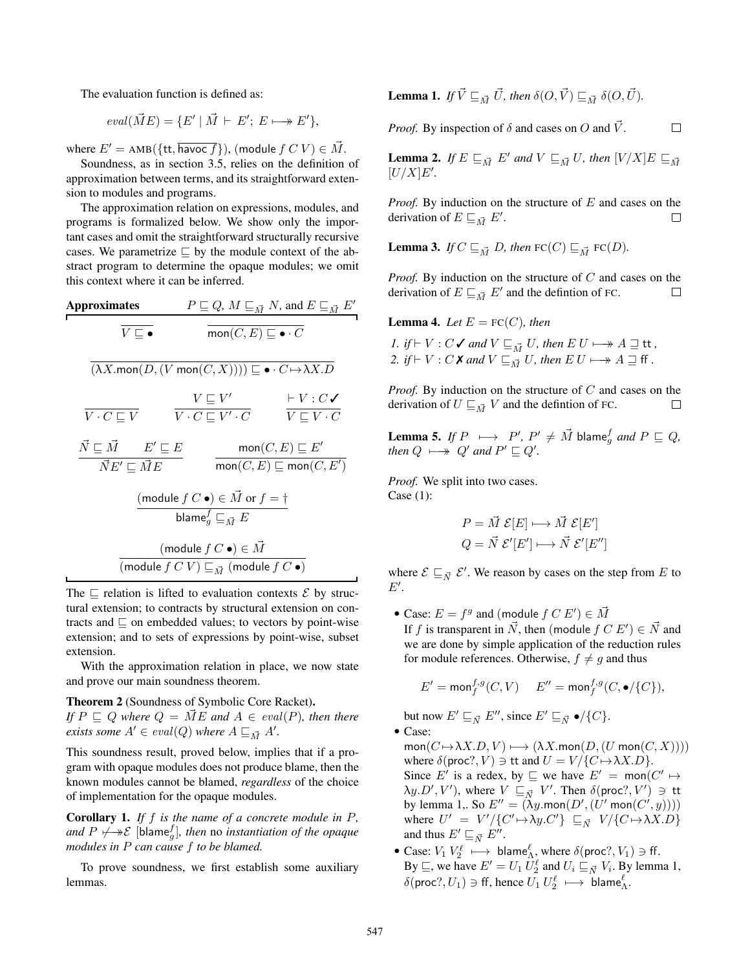The evaluation function is defined as:

$$
eval(\vec{M}E) = \{E' \mid \vec{M} \vdash E'; E \longmapsto E'\},\
$$

where  $E' = \text{AMB}(\{\text{tt}, \overline{\text{havoc } f}\}),$  (module  $fCV \in \overline{M}$ .

Soundness, as in section [3.5](#page-5-0), relies on the definition of approximation between terms, and its straightforward extension to modules and programs.

The approximation relation on expressions, modules, and programs is formalized below. We show only the important cases and omit the straightforward structurally recursive cases. We parametrize  $\Box$  by the module context of the abstract program to determine the opaque modules; we omit this context where it can be inferred.

| Approximates                                                                                            | $P \sqsubseteq Q, M \sqsubseteq_{\vec{M}} N, \text{ and } E \sqsubseteq_{\vec{M}} E'$ |                                                |
|---------------------------------------------------------------------------------------------------------|---------------------------------------------------------------------------------------|------------------------------------------------|
| $\overline{V \sqsubseteq \bullet}$                                                                      | $\overline{mon(C, E) \sqsubseteq \bullet \cdot C}$                                    |                                                |
| $(\lambda X. \text{mon}(D, (V \text{ mon}(C, X)))) \sqsubseteq \bullet \cdot C \rightarrow \lambda X.D$ |                                                                                       |                                                |
| $\overline{V \cdot C \sqsubseteq V}$                                                                    | $\overline{V' \cdot C \sqsubseteq V' \cdot C}$                                        | $\overline{V' \cdot C' \sqsubseteq V \cdot C}$ |
| $\overline{N} \sqsubseteq \vec{M}$                                                                      | $E' \sqsubseteq E$                                                                    | $\text{mon}(C, E) \sqsubseteq E'$              |
| $\overline{N} E' \sqsubseteq \vec{M} E$                                                                 | $\overline{mon}(C, E) \sqsubseteq \text{mon}(C, E')$                                  |                                                |
| $(\text{module } f \subset \bullet) \in \vec{M} \text{ or } f = \dagger$                                |                                                                                       |                                                |
| $(\text{module } f \subset \bullet) \in \vec{M}$                                                        |                                                                                       |                                                |
| $(\text{module } f \subset V) \sqsubseteq_{\vec{M}} (\text{module } f \subset \bullet)$                 |                                                                                       |                                                |

The  $\subseteq$  relation is lifted to evaluation contexts  $\mathcal E$  by structural extension; to contracts by structural extension on contracts and  $\Box$  on embedded values; to vectors by point-wise extension; and to sets of expressions by point-wise, subset extension.

With the approximation relation in place, we now state and prove our main soundness theorem.

<span id="page-10-4"></span>Theorem 2 (Soundness of Symbolic Core Racket). *If*  $P \subseteq Q$  *where*  $Q = ME$  *and*  $A \in eval(P)$ *, then there exists some*  $A' \in eval(Q)$  *where*  $A \sqsubseteq_{\vec{M}} A'$ .

This soundness result, proved below, implies that if a program with opaque modules does not produce blame, then the known modules cannot be blamed, *regardless* of the choice of implementation for the opaque modules.

Corollary 1. *If* f *is the name of a concrete module in* P*, and*  $P \not\longmapsto \mathcal{E}$  [blame $^f_g$ ], then no instantiation of the opaque *modules in* P *can cause* f *to be blamed.*

To prove soundness, we first establish some auxiliary lemmas.

<span id="page-10-0"></span>**Lemma 1.** If 
$$
\vec{V} \sqsubseteq_{\vec{M}} \vec{U}
$$
, then  $\delta(O, \vec{V}) \sqsubseteq_{\vec{M}} \delta(O, \vec{U})$ .

*Proof.* By inspection of  $\delta$  and cases on O and  $\vec{V}$ .

<span id="page-10-1"></span>**Lemma 2.** If 
$$
E \sqsubseteq_{\vec{M}} E'
$$
 and  $V \sqsubseteq_{\vec{M}} U$ , then  $[V/X]E \sqsubseteq_{\vec{M}} [U/X]E'$ .

 $\Box$ 

*Proof.* By induction on the structure of E and cases on the derivation of  $E \sqsubseteq_{\vec{M}} E'$ .  $\Box$ 

<span id="page-10-2"></span>**Lemma 3.** *If*  $C \sqsubseteq_{\vec{M}} D$ *, then*  $FC(C) \sqsubseteq_{\vec{M}} FC(D)$ *.* 

*Proof.* By induction on the structure of C and cases on the derivation of  $E \sqsubseteq_{\vec{M}} E'$  and the defintion of FC.  $\Box$ 

<span id="page-10-3"></span>**Lemma 4.** *Let*  $E = FC(C)$ *, then* 

*1. if*  $\vdash$  *V* : *C*  $\checkmark$  *and*  $V \sqsubseteq_{\vec{M}} U$ *, then*  $E U \longmapsto A \sqsupseteq$  **tt** *,* 2. *if*  $\vdash V : C \times \mathcal{X}$  and  $V \sqsubseteq_{\vec{M}} U$ , then  $E U \longmapsto A \sqsupseteq f$  ff .

*Proof.* By induction on the structure of C and cases on the derivation of  $U \sqsubseteq_{\vec{M}} V$  and the defintion of FC.  $\Box$ 

<span id="page-10-5"></span>**Lemma 5.** If 
$$
P \mapsto P', P' \neq \vec{M}
$$
 blame<sup>f</sup><sub>g</sub> and  $P \sqsubseteq Q$ ,  
then  $Q \mapsto Q'$  and  $P' \sqsubseteq Q'$ .

*Proof.* We split into two cases. Case (1):

$$
P = \vec{M} \mathcal{E}[E] \longmapsto \vec{M} \mathcal{E}[E']
$$
  

$$
Q = \vec{N} \mathcal{E}'[E'] \longmapsto \vec{N} \mathcal{E}'[E'']
$$

where  $\mathcal{E} \sqsubseteq_{\vec{N}} \mathcal{E}'$ . We reason by cases on the step from E to  $E^{\prime}$ .

• Case:  $E = f^g$  and (module  $f C E'$ )  $\in \vec{M}$ If f is transparent in  $\vec{N}$ , then (module  $f C E'$ )  $\in \vec{N}$  and we are done by simple application of the reduction rules for module references. Otherwise,  $f \neq g$  and thus

$$
E' = \text{mon}_f^{f,g}(C, V) \quad E'' = \text{mon}_f^{f,g}(C, \bullet / \{C\}),
$$

but now  $E' \sqsubseteq_{\vec{N}} E''$ , since  $E' \sqsubseteq_{\vec{N}} \bullet / \{C\}.$ 

• Case:

- $mon(C \mapsto \lambda X.D, V) \longmapsto (\lambda X.mon(D, (U mon(C, X))))$ where  $\delta$ (proc?,  $V$ )  $\ni$  tt and  $U = V / {C \mapsto \lambda X.D}$ . Since E' is a redex, by  $\sqsubseteq$  we have  $E' = \text{mon}(C' \mapsto$  $\lambda y.D',V'$ ), where  $V \sqsubseteq_{\vec{N}} V'.$  Then  $\delta({\sf proc?,V'}) \ni {\sf tt}$ by lemma [1,](#page-10-0). So  $E'' = (\lambda y \cdot \text{mon}(D', (U' \text{ mon}(C', y))))$ where  $U' = V'/\{C' \mapsto \lambda y.C'\} \subseteq_{\vec{N}} V/\{C \mapsto \lambda X.D\}$ and thus  $E' \sqsubseteq_{\vec{N}} E''$ .
- Case:  $V_1 V_2^{\ell} \longmapsto$  blame ${}_{\Lambda}^{\ell}$ , where  $\delta$  (proc?,  $V_1$ )  $\ni$  ff. By  $\sqsubseteq$ , we have  $E' = U_1 U_2^{\ell}$  and  $U_i \sqsubseteq_{\vec{N}} V_i$ . By lemma [1,](#page-10-0)  $\delta(\text{proc}?, U_1) \ni \text{ff}$ , hence  $U_1 U_2^{\ell} \longmapsto \text{blame}^{\ell}_{\Lambda}$ .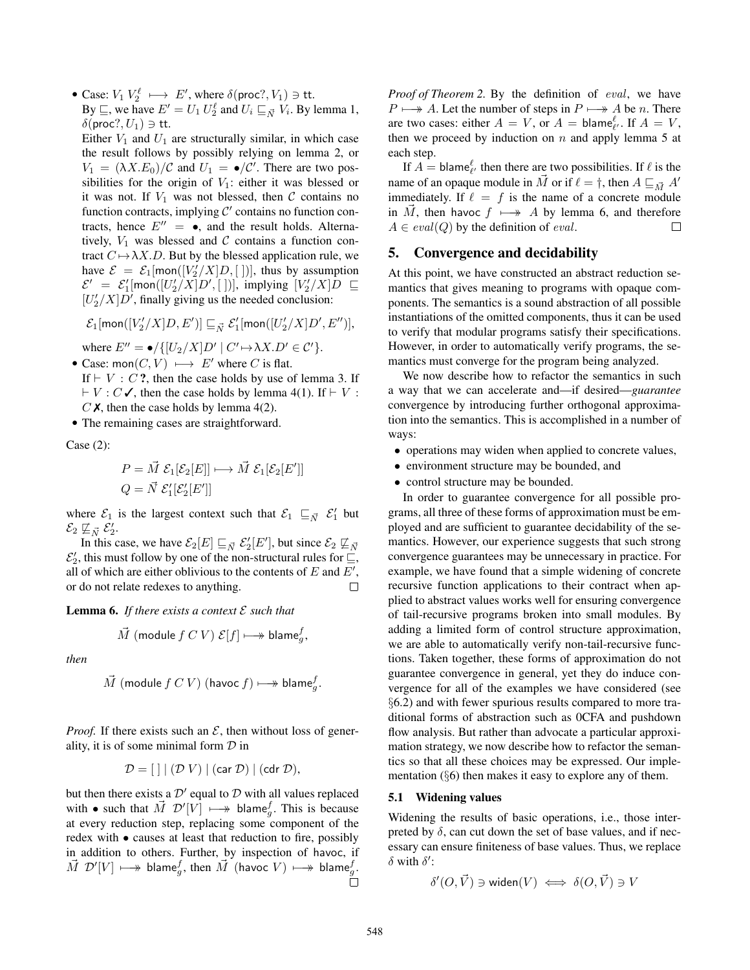• Case:  $V_1 V_2^{\ell} \longmapsto E'$ , where  $\delta(\text{proc}, V_1) \ni \text{tt}$ . By  $\sqsubseteq$ , we have  $E' = U_1 U_2^{\ell}$  and  $U_i \sqsubseteq_{\vec{N}} V_i$ . By lemma [1,](#page-10-0)  $\delta$ (proc?,  $U_1$ )  $\ni$  tt.

Either  $V_1$  and  $U_1$  are structurally similar, in which case the result follows by possibly relying on lemma [2](#page-10-1), or  $V_1 = (\lambda X.E_0)/C$  and  $U_1 = \bullet/C'$ . There are two possibilities for the origin of  $V_1$ : either it was blessed or it was not. If  $V_1$  was not blessed, then  $C$  contains no function contracts, implying  $C'$  contains no function contracts, hence  $E'' = \bullet$ , and the result holds. Alternatively,  $V_1$  was blessed and  $C$  contains a function contract  $C \mapsto \lambda X.D.$  But by the blessed application rule, we have  $\mathcal{E} = \mathcal{E}_1[\text{mon}([V_2'/X]D, [$ ])], thus by assumption  $\mathcal{E}' = \mathcal{E}'_1$ [mon( $[U'_2/X]D',$ [])], implying  $[V'_2/X]D \subseteq$  $[U'_2/X]D'$ , finally giving us the needed conclusion:

 $\mathcal{E}_1[$ mon $([V_2'/X]D, E')] \sqsubseteq_{\vec{N}} \mathcal{E}_1'$ [mon $([U_2'/X]D', E'')],$ 

where  $E'' = \bullet / \{ [U_2/X] D' \mid C' \mapsto \lambda X . D' \in C' \}.$ • Case: mon $(C, V) \longmapsto E'$  where C is flat. If  $\vdash$  V : C ?, then the case holds by use of lemma [3.](#page-10-2) If

 $\vdash V : C \checkmark$ , then the case holds by lemma [4](#page-10-3)(1). If  $\vdash V : C \checkmark$  $C \times$ , then the case holds by lemma [4](#page-10-3)(2).

• The remaining cases are straightforward.

Case (2):

$$
P = \vec{M} \mathcal{E}_1[\mathcal{E}_2[E]] \longmapsto \vec{M} \mathcal{E}_1[\mathcal{E}_2[E']]
$$
  

$$
Q = \vec{N} \mathcal{E}'_1[\mathcal{E}'_2[E']]
$$

where  $\mathcal{E}_1$  is the largest context such that  $\mathcal{E}_1 \sqsubseteq_{\vec{N}} \mathcal{E}'_1$  but  $\mathcal{E}_2 \not\sqsubseteq_{\vec{N}} \mathcal{E}'_2.$ 

In this case, we have  $\mathcal{E}_2[E] \sqsubseteq_{\vec{N}} \mathcal{E}'_2[E']$ , but since  $\mathcal{E}_2 \not\sqsubseteq_{\vec{N}}$  $\mathcal{E}'_2$ , this must follow by one of the non-structural rules for  $\sqsubseteq$ , all of which are either oblivious to the contents of  $E$  and  $E'$ , or do not relate redexes to anything. П

<span id="page-11-1"></span>**Lemma 6.** If there exists a context  $\mathcal E$  such that

$$
\vec{M} \text{ (module } f \text{ } C \text{ } V \text{ ) } \mathcal{E}[f] \longmapsto \textsf{blame}_g^f,
$$

*then*

$$
\vec{M} \text{ (module } f \text{ } C \text{ } V \text{) (have } f \text{)} \longmapsto \textsf{blame}_g^f.
$$

*Proof.* If there exists such an  $\mathcal{E}$ , then without loss of generality, it is of some minimal form  $D$  in

$$
\mathcal{D} = [\ ] \mid (\mathcal{D} V) \mid (\text{car } \mathcal{D}) \mid (\text{cdr } \mathcal{D}),
$$

but then there exists a  $\mathcal{D}'$  equal to  $\mathcal D$  with all values replaced with • such that  $\vec{M}$   $\mathcal{D}'[V] \longmapsto$  blame<sub>g</sub>. This is because at every reduction step, replacing some component of the redex with • causes at least that reduction to fire, possibly in addition to others. Further, by inspection of havoc, if  $\vec{M}$   $\mathcal{D}^\prime [V] \longmapsto \mathsf{blame}_g^f,$  then  $\vec{M}$  (havoc  $V) \longmapsto \mathsf{blame}_g^f.$ 

*Proof of Theorem [2.](#page-10-4)* By the definition of eval, we have  $P \longmapsto A$ . Let the number of steps in  $P \longmapsto A$  be n. There are two cases: either  $A = V$ , or  $A = \text{blame}_{\ell'}^{\ell}$ . If  $A = V$ , then we proceed by induction on  $n$  and apply lemma [5](#page-10-5) at each step.

If  $A = \text{blame}_{\ell'}^{\ell}$  then there are two possibilities. If  $\ell$  is the name of an opaque module in  $\vec{M}$  or if  $\ell = \dagger$ , then  $A \sqsubseteq_{\vec{M}} A'$ immediately. If  $\ell = f$  is the name of a concrete module in  $\overrightarrow{M}$ , then havoc  $f \mapsto A$  by lemma [6,](#page-11-1) and therefore  $A \in eval(Q)$  by the definition of *eval*.  $□$  $A \in eval(Q)$  by the definition of *eval*.

## <span id="page-11-0"></span>5. Convergence and decidability

At this point, we have constructed an abstract reduction semantics that gives meaning to programs with opaque components. The semantics is a sound abstraction of all possible instantiations of the omitted components, thus it can be used to verify that modular programs satisfy their specifications. However, in order to automatically verify programs, the semantics must converge for the program being analyzed.

We now describe how to refactor the semantics in such a way that we can accelerate and—if desired—*guarantee* convergence by introducing further orthogonal approximation into the semantics. This is accomplished in a number of ways:

- operations may widen when applied to concrete values,
- environment structure may be bounded, and
- control structure may be bounded.

In order to guarantee convergence for all possible programs, all three of these forms of approximation must be employed and are sufficient to guarantee decidability of the semantics. However, our experience suggests that such strong convergence guarantees may be unnecessary in practice. For example, we have found that a simple widening of concrete recursive function applications to their contract when applied to abstract values works well for ensuring convergence of tail-recursive programs broken into small modules. By adding a limited form of control structure approximation, we are able to automatically verify non-tail-recursive functions. Taken together, these forms of approximation do not guarantee convergence in general, yet they do induce convergence for all of the examples we have considered (see §[6.2\)](#page-14-1) and with fewer spurious results compared to more traditional forms of abstraction such as 0CFA and pushdown flow analysis. But rather than advocate a particular approximation strategy, we now describe how to refactor the semantics so that all these choices may be expressed. Our implementation (§[6](#page-13-0)) then makes it easy to explore any of them.

#### 5.1 Widening values

Widening the results of basic operations, i.e., those interpreted by  $\delta$ , can cut down the set of base values, and if necessary can ensure finiteness of base values. Thus, we replace  $\delta$  with  $\delta$ ':

$$
\delta'(O, \vec{V}) \ni \text{widen}(V) \iff \delta(O, \vec{V}) \ni V
$$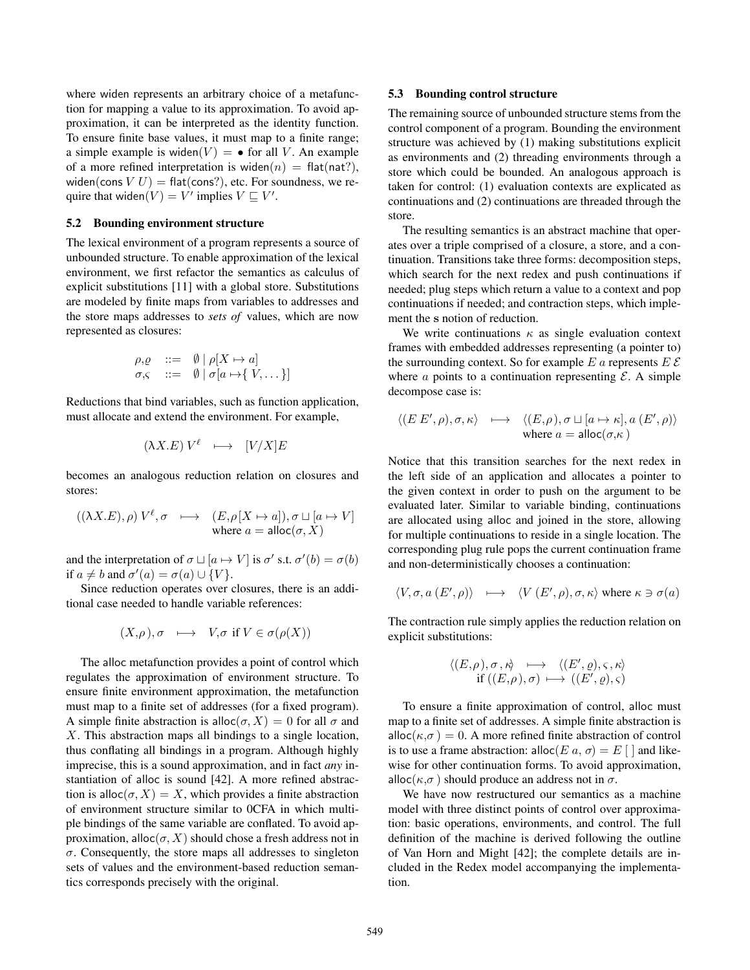where widen represents an arbitrary choice of a metafunction for mapping a value to its approximation. To avoid approximation, it can be interpreted as the identity function. To ensure finite base values, it must map to a finite range; a simple example is widen(V) =  $\bullet$  for all V. An example of a more refined interpretation is widen $(n)$  = flat(nat?), widen(cons  $V U$ ) = flat(cons?), etc. For soundness, we require that widen $(V) = V'$  implies  $V \sqsubseteq V'$ .

## 5.2 Bounding environment structure

The lexical environment of a program represents a source of unbounded structure. To enable approximation of the lexical environment, we first refactor the semantics as calculus of explicit substitutions [[11\]](#page-17-13) with a global store. Substitutions are modeled by finite maps from variables to addresses and the store maps addresses to *sets of* values, which are now represented as closures:

$$
\rho, \varrho \quad ::= \quad \emptyset \mid \rho[X \mapsto a] \n\sigma, \quad ::= \quad \emptyset \mid \sigma[a \mapsto \{ V, \dots \}]
$$

Reductions that bind variables, such as function application, must allocate and extend the environment. For example,

$$
(\lambda X.E) V^{\ell} \quad \longmapsto \quad [V/X]E
$$

becomes an analogous reduction relation on closures and stores:

$$
((\lambda X.E), \rho) V^{\ell}, \sigma \longmapsto (E, \rho[X \mapsto a]), \sigma \sqcup [a \mapsto V]
$$
  
where  $a = \text{alloc}(\sigma, X)$ 

and the interpretation of  $\sigma \sqcup [a \mapsto V]$  is  $\sigma'$  s.t.  $\sigma'(b) = \sigma(b)$ if  $a \neq b$  and  $\sigma'(a) = \sigma(a) \cup \{V\}.$ 

Since reduction operates over closures, there is an additional case needed to handle variable references:

$$
(X,\rho\,),\sigma\ \longmapsto\ V,\sigma\text{ if }V\in\sigma(\rho(X))
$$

The alloc metafunction provides a point of control which regulates the approximation of environment structure. To ensure finite environment approximation, the metafunction must map to a finite set of addresses (for a fixed program). A simple finite abstraction is alloc $(\sigma, X)=0$  for all  $\sigma$  and X. This abstraction maps all bindings to a single location, thus conflating all bindings in a program. Although highly imprecise, this is a sound approximation, and in fact *any* instantiation of alloc is sound [[42](#page-17-7)]. A more refined abstraction is alloc $(\sigma, X) = X$ , which provides a finite abstraction of environment structure similar to 0CFA in which multiple bindings of the same variable are conflated. To avoid approximation, alloc $(\sigma, X)$  should chose a fresh address not in  $\sigma$ . Consequently, the store maps all addresses to singleton sets of values and the environment-based reduction semantics corresponds precisely with the original.

## 5.3 Bounding control structure

The remaining source of unbounded structure stems from the control component of a program. Bounding the environment structure was achieved by (1) making substitutions explicit as environments and (2) threading environments through a store which could be bounded. An analogous approach is taken for control: (1) evaluation contexts are explicated as continuations and (2) continuations are threaded through the store.

The resulting semantics is an abstract machine that operates over a triple comprised of a closure, a store, and a continuation. Transitions take three forms: decomposition steps, which search for the next redex and push continuations if needed; plug steps which return a value to a context and pop continuations if needed; and contraction steps, which implement the s notion of reduction.

We write continuations  $\kappa$  as single evaluation context frames with embedded addresses representing (a pointer to) the surrounding context. So for example  $E a$  represents  $E \, \mathcal{E}$ where  $\alpha$  points to a continuation representing  $\mathcal{E}$ . A simple decompose case is:

$$
\langle (E E', \rho), \sigma, \kappa \rangle \longrightarrow \langle (E, \rho), \sigma \sqcup [a \mapsto \kappa], a (E', \rho) \rangle
$$
  
where  $a = \text{alloc}(\sigma, \kappa)$ 

Notice that this transition searches for the next redex in the left side of an application and allocates a pointer to the given context in order to push on the argument to be evaluated later. Similar to variable binding, continuations are allocated using alloc and joined in the store, allowing for multiple continuations to reside in a single location. The corresponding plug rule pops the current continuation frame and non-deterministically chooses a continuation:

$$
\langle V, \sigma, a(E', \rho) \rangle \longmapsto \langle V(E', \rho), \sigma, \kappa \rangle \text{ where } \kappa \ni \sigma(a)
$$

The contraction rule simply applies the reduction relation on explicit substitutions:

$$
\langle (E,\rho),\sigma,\kappa\rangle \longrightarrow \langle (E',\varrho),\varsigma,\kappa\rangle
$$
  
if 
$$
((E,\rho),\sigma) \longmapsto ((E',\varrho),\varsigma)
$$

To ensure a finite approximation of control, alloc must map to a finite set of addresses. A simple finite abstraction is alloc( $\kappa,\sigma$ ) = 0. A more refined finite abstraction of control is to use a frame abstraction: alloc(E a,  $\sigma$ ) = E [ ] and likewise for other continuation forms. To avoid approximation, alloc( $\kappa$ , $\sigma$ ) should produce an address not in  $\sigma$ .

We have now restructured our semantics as a machine model with three distinct points of control over approximation: basic operations, environments, and control. The full definition of the machine is derived following the outline of Van Horn and Might [[42\]](#page-17-7); the complete details are included in the Redex model accompanying the implementation.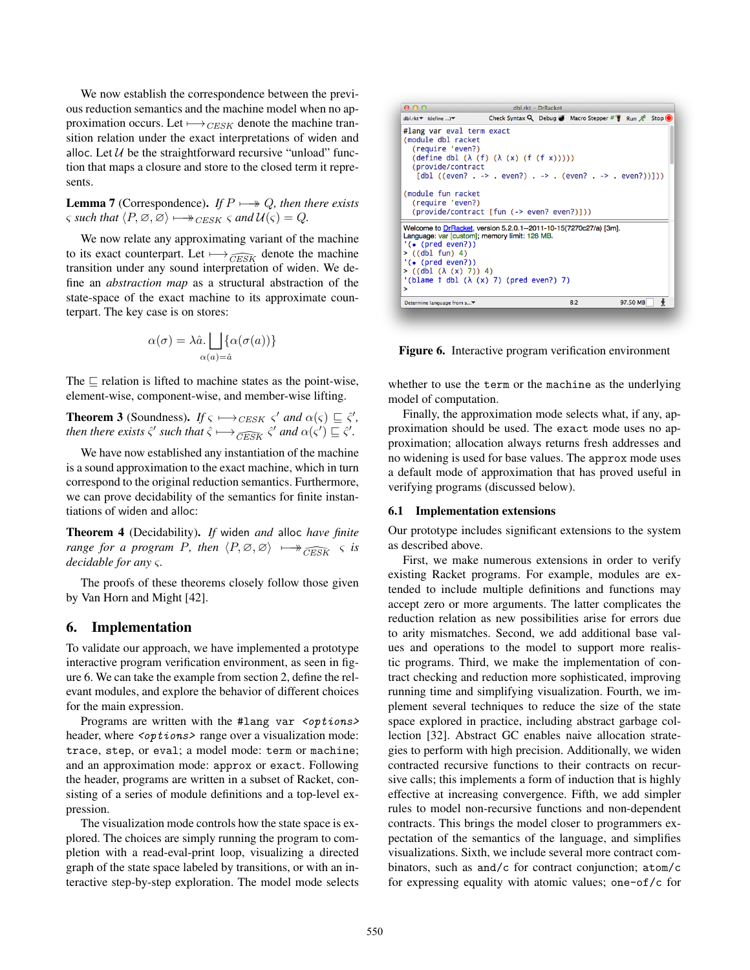We now establish the correspondence between the previous reduction semantics and the machine model when no approximation occurs. Let  $\longmapsto_{CESK}$  denote the machine transition relation under the exact interpretations of widen and alloc. Let  $U$  be the straightforward recursive "unload" function that maps a closure and store to the closed term it represents.

**Lemma 7** (Correspondence). *If*  $P \rightarrow Q$ , then there exists  $\varsigma$  *such that*  $\langle P, \emptyset, \emptyset \rangle \longrightarrow_{CESK} \varsigma$  *and*  $\mathcal{U}(\varsigma) = Q$ *.* 

We now relate any approximating variant of the machine to its exact counterpart. Let  $\longmapsto_{\widehat{CESK}}$  denote the machine transition under any sound interpretation of widen. We define an *abstraction map* as a structural abstraction of the state-space of the exact machine to its approximate counterpart. The key case is on stores:

$$
\alpha(\sigma) = \lambda \hat{a}.\bigsqcup_{\alpha(a)=\hat{a}} \{\alpha(\sigma(a))\}
$$

The  $\sqsubset$  relation is lifted to machine states as the point-wise, element-wise, component-wise, and member-wise lifting.

**Theorem 3** (Soundness). *If*  $\varsigma \mapsto_{CESK} \varsigma'$  *and*  $\alpha(\varsigma) \sqsubseteq \hat{\varsigma}'$ , *then there exists*  $\hat{\varsigma}'$  *such that*  $\hat{\varsigma} \longmapsto \frac{\hat{\varsigma}'}{\hat{\varsigma} \cdot \hat{\varsigma}'}$  *and*  $\alpha(\varsigma') \sqsubseteq \hat{\varsigma}'$ *.* 

We have now established any instantiation of the machine is a sound approximation to the exact machine, which in turn correspond to the original reduction semantics. Furthermore, we can prove decidability of the semantics for finite instantiations of widen and alloc:

Theorem 4 (Decidability). *If* widen *and* alloc *have finite range for a program P, then*  $\langle P, \emptyset, \emptyset \rangle \longrightarrow \leftarrow$   $\widehat{CESK}$   $\varsigma$  *is decidable for any* ς*.*

The proofs of these theorems closely follow those given by Van Horn and Might [\[42](#page-17-7)].

# <span id="page-13-0"></span>6. Implementation

To validate our approach, we have implemented a prototype interactive program verification environment, as seen in figure [6.](#page-13-1) We can take the example from section [2](#page-2-0), define the relevant modules, and explore the behavior of different choices for the main expression.

Programs are written with the #lang var <options> header, where  $\langle$ options> range over a visualization mode: trace, step, or eval; a model mode: term or machine; and an approximation mode: approx or exact. Following the header, programs are written in a subset of Racket, consisting of a series of module definitions and a top-level expression.

The visualization mode controls how the state space is explored. The choices are simply running the program to completion with a read-eval-print loop, visualizing a directed graph of the state space labeled by transitions, or with an interactive step-by-step exploration. The model mode selects



<span id="page-13-1"></span>Figure 6. Interactive program verification environment

whether to use the term or the machine as the underlying model of computation.

Finally, the approximation mode selects what, if any, approximation should be used. The exact mode uses no approximation; allocation always returns fresh addresses and no widening is used for base values. The approx mode uses a default mode of approximation that has proved useful in verifying programs (discussed below).

## 6.1 Implementation extensions

Our prototype includes significant extensions to the system as described above.

First, we make numerous extensions in order to verify existing Racket programs. For example, modules are extended to include multiple definitions and functions may accept zero or more arguments. The latter complicates the reduction relation as new possibilities arise for errors due to arity mismatches. Second, we add additional base values and operations to the model to support more realistic programs. Third, we make the implementation of contract checking and reduction more sophisticated, improving running time and simplifying visualization. Fourth, we implement several techniques to reduce the size of the state space explored in practice, including abstract garbage collection [[32\]](#page-17-14). Abstract GC enables naive allocation strategies to perform with high precision. Additionally, we widen contracted recursive functions to their contracts on recursive calls; this implements a form of induction that is highly effective at increasing convergence. Fifth, we add simpler rules to model non-recursive functions and non-dependent contracts. This brings the model closer to programmers expectation of the semantics of the language, and simplifies visualizations. Sixth, we include several more contract combinators, such as and/c for contract conjunction; atom/c for expressing equality with atomic values; one-of/c for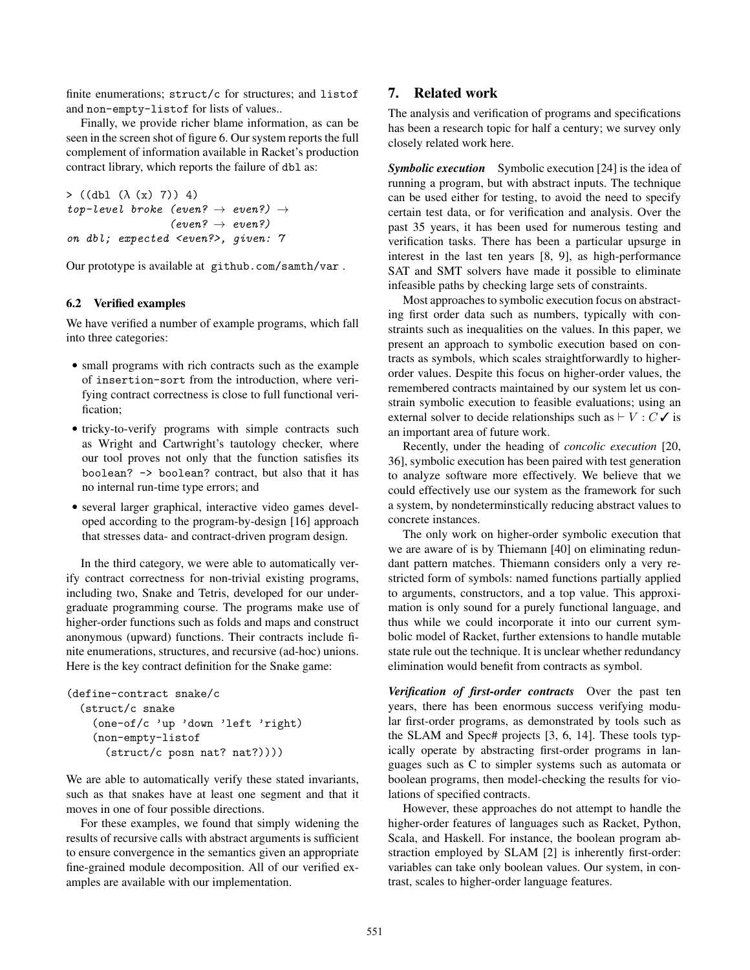finite enumerations; struct/c for structures; and listof and non-empty-listof for lists of values..

Finally, we provide richer blame information, as can be seen in the screen shot of figure [6.](#page-13-1) Our system reports the full complement of information available in Racket's production contract library, which reports the failure of dbl as:

```
> ((dbl (\lambda (x) 7)) 4)
top-level broke (even? \rightarrow even?) \rightarrow(even? \rightarrow even?)on dbl; expected <even?>, given: 7
```
Our prototype is available at [github.com/samth/var](https://github.com/samth/var/) .

## <span id="page-14-1"></span>6.2 Verified examples

We have verified a number of example programs, which fall into three categories:

- small programs with rich contracts such as the example of insertion-sort from the introduction, where verifying contract correctness is close to full functional verification;
- tricky-to-verify programs with simple contracts such as Wright and Cartwright's tautology checker, where our tool proves not only that the function satisfies its boolean? -> boolean? contract, but also that it has no internal run-time type errors; and
- several larger graphical, interactive video games developed according to the program-by-design [\[16](#page-17-15)] approach that stresses data- and contract-driven program design.

In the third category, we were able to automatically verify contract correctness for non-trivial existing programs, including two, Snake and Tetris, developed for our undergraduate programming course. The programs make use of higher-order functions such as folds and maps and construct anonymous (upward) functions. Their contracts include finite enumerations, structures, and recursive (ad-hoc) unions. Here is the key contract definition for the Snake game:

```
(define-contract snake/c
  (struct/c snake
    (one-of/c 'up 'down 'left 'right)
    (non-empty-listof
      (struct/c posn nat? nat?))))
```
We are able to automatically verify these stated invariants, such as that snakes have at least one segment and that it moves in one of four possible directions.

For these examples, we found that simply widening the results of recursive calls with abstract arguments is sufficient to ensure convergence in the semantics given an appropriate fine-grained module decomposition. All of our verified examples are available with our implementation.

# <span id="page-14-0"></span>7. Related work

The analysis and verification of programs and specifications has been a research topic for half a century; we survey only closely related work here.

*Symbolic execution* Symbolic execution [[24\]](#page-17-16) is the idea of running a program, but with abstract inputs. The technique can be used either for testing, to avoid the need to specify certain test data, or for verification and analysis. Over the past 35 years, it has been used for numerous testing and verification tasks. There has been a particular upsurge in interest in the last ten years [\[8](#page-16-0), [9](#page-16-1)], as high-performance SAT and SMT solvers have made it possible to eliminate infeasible paths by checking large sets of constraints.

Most approaches to symbolic execution focus on abstracting first order data such as numbers, typically with constraints such as inequalities on the values. In this paper, we present an approach to symbolic execution based on contracts as symbols, which scales straightforwardly to higherorder values. Despite this focus on higher-order values, the remembered contracts maintained by our system let us constrain symbolic execution to feasible evaluations; using an external solver to decide relationships such as  $\vdash V : C \checkmark$  is an important area of future work.

Recently, under the heading of *concolic execution* [[20,](#page-17-17) [36\]](#page-17-18), symbolic execution has been paired with test generation to analyze software more effectively. We believe that we could effectively use our system as the framework for such a system, by nondeterminstically reducing abstract values to concrete instances.

The only work on higher-order symbolic execution that we are aware of is by Thiemann [[40\]](#page-17-19) on eliminating redundant pattern matches. [Thiemann](#page-17-19) considers only a very restricted form of symbols: named functions partially applied to arguments, constructors, and a top value. This approximation is only sound for a purely functional language, and thus while we could incorporate it into our current symbolic model of Racket, further extensions to handle mutable state rule out the technique. It is unclear whether redundancy elimination would benefit from contracts as symbol.

*Verification of first-order contracts* Over the past ten years, there has been enormous success verifying modular first-order programs, as demonstrated by tools such as the SLAM and Spec# projects [\[3](#page-16-2), [6](#page-16-3), [14](#page-17-11)]. These tools typically operate by abstracting first-order programs in languages such as C to simpler systems such as automata or boolean programs, then model-checking the results for violations of specified contracts.

However, these approaches do not attempt to handle the higher-order features of languages such as Racket, Python, Scala, and Haskell. For instance, the boolean program abstraction employed by SLAM [[2\]](#page-16-4) is inherently first-order: variables can take only boolean values. Our system, in contrast, scales to higher-order language features.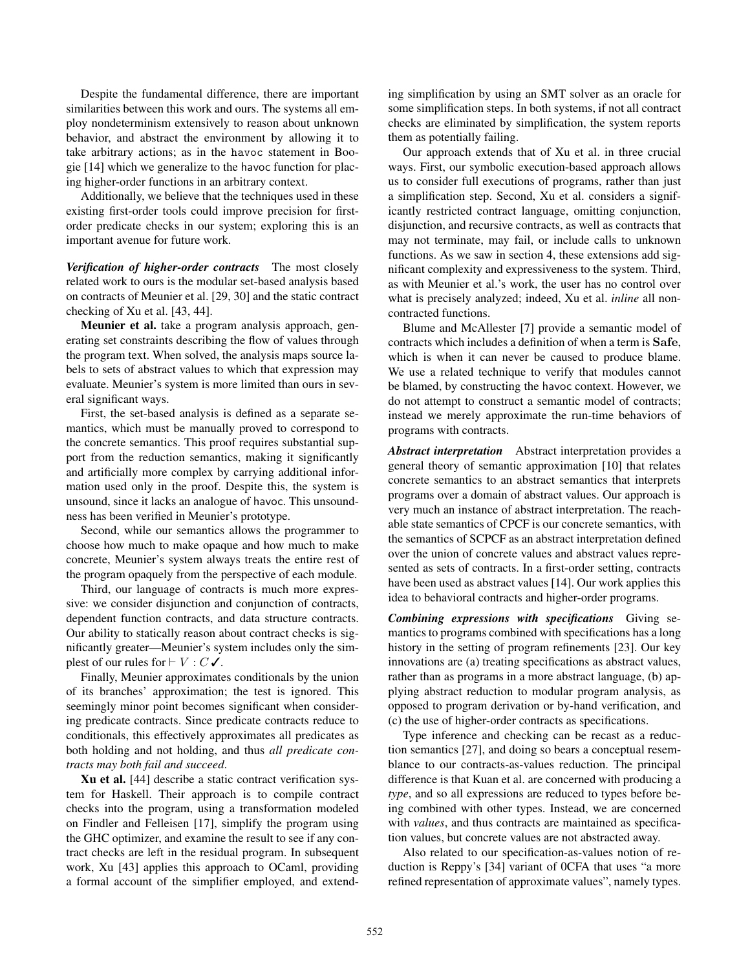Despite the fundamental difference, there are important similarities between this work and ours. The systems all employ nondeterminism extensively to reason about unknown behavior, and abstract the environment by allowing it to take arbitrary actions; as in the havoc statement in Boogie [[14\]](#page-17-11) which we generalize to the havoc function for placing higher-order functions in an arbitrary context.

Additionally, we believe that the techniques used in these existing first-order tools could improve precision for firstorder predicate checks in our system; exploring this is an important avenue for future work.

*Verification of higher-order contracts* The most closely related work to ours is the modular set-based analysis based on contracts of [Meunier et al.](#page-17-20) [\[29](#page-17-21), [30\]](#page-17-20) and the static contract checking of [Xu et al.](#page-17-22) [\[43](#page-17-23), [44](#page-17-22)].

[Meunier et al.](#page-17-20) take a program analysis approach, generating set constraints describing the flow of values through the program text. When solved, the analysis maps source labels to sets of abstract values to which that expression may evaluate. Meunier's system is more limited than ours in several significant ways.

First, the set-based analysis is defined as a separate semantics, which must be manually proved to correspond to the concrete semantics. This proof requires substantial support from the reduction semantics, making it significantly and artificially more complex by carrying additional information used only in the proof. Despite this, the system is unsound, since it lacks an analogue of havoc. This unsoundness has been verified in Meunier's prototype.

Second, while our semantics allows the programmer to choose how much to make opaque and how much to make concrete, Meunier's system always treats the entire rest of the program opaquely from the perspective of each module.

Third, our language of contracts is much more expressive: we consider disjunction and conjunction of contracts, dependent function contracts, and data structure contracts. Our ability to statically reason about contract checks is significantly greater—Meunier's system includes only the simplest of our rules for  $\vdash V : C \checkmark$ .

Finally, Meunier approximates conditionals by the union of its branches' approximation; the test is ignored. This seemingly minor point becomes significant when considering predicate contracts. Since predicate contracts reduce to conditionals, this effectively approximates all predicates as both holding and not holding, and thus *all predicate contracts may both fail and succeed*.

[Xu et al.](#page-17-22) [\[44](#page-17-22)] describe a static contract verification system for Haskell. Their approach is to compile contract checks into the program, using a transformation modeled on Findler and Felleisen [[17](#page-17-0)], simplify the program using the GHC optimizer, and examine the result to see if any contract checks are left in the residual program. In subsequent work, Xu [\[43](#page-17-23)] applies this approach to OCaml, providing a formal account of the simplifier employed, and extend-

ing simplification by using an SMT solver as an oracle for some simplification steps. In both systems, if not all contract checks are eliminated by simplification, the system reports them as potentially failing.

Our approach extends that of [Xu et al.](#page-17-22) in three crucial ways. First, our symbolic execution-based approach allows us to consider full executions of programs, rather than just a simplification step. Second, [Xu et al.](#page-17-22) considers a significantly restricted contract language, omitting conjunction, disjunction, and recursive contracts, as well as contracts that may not terminate, may fail, or include calls to unknown functions. As we saw in section [4](#page-5-1), these extensions add significant complexity and expressiveness to the system. Third, as with [Meunier et al.](#page-17-20)'s work, the user has no control over what is precisely analyzed; indeed, [Xu et al.](#page-17-22) *inline* all noncontracted functions.

Blume and McAllester [[7\]](#page-16-5) provide a semantic model of contracts which includes a definition of when a term is Safe, which is when it can never be caused to produce blame. We use a related technique to verify that modules cannot be blamed, by constructing the havoc context. However, we do not attempt to construct a semantic model of contracts; instead we merely approximate the run-time behaviors of programs with contracts.

*Abstract interpretation* Abstract interpretation provides a general theory of semantic approximation [[10\]](#page-17-24) that relates concrete semantics to an abstract semantics that interprets programs over a domain of abstract values. Our approach is very much an instance of abstract interpretation. The reachable state semantics of CPCF is our concrete semantics, with the semantics of SCPCF as an abstract interpretation defined over the union of concrete values and abstract values represented as sets of contracts. In a first-order setting, contracts have been used as abstract values [\[14](#page-17-11)]. Our work applies this idea to behavioral contracts and higher-order programs.

*Combining expressions with specifications* Giving semantics to programs combined with specifications has a long history in the setting of program refinements [[23\]](#page-17-25). Our key innovations are (a) treating specifications as abstract values, rather than as programs in a more abstract language, (b) applying abstract reduction to modular program analysis, as opposed to program derivation or by-hand verification, and (c) the use of higher-order contracts as specifications.

Type inference and checking can be recast as a reduction semantics [\[27](#page-17-26)], and doing so bears a conceptual resemblance to our contracts-as-values reduction. The principal difference is that Kuan et al. are concerned with producing a *type*, and so all expressions are reduced to types before being combined with other types. Instead, we are concerned with *values*, and thus contracts are maintained as specification values, but concrete values are not abstracted away.

Also related to our specification-as-values notion of reduction is Reppy's [\[34](#page-17-27)] variant of 0CFA that uses "a more refined representation of approximate values", namely types.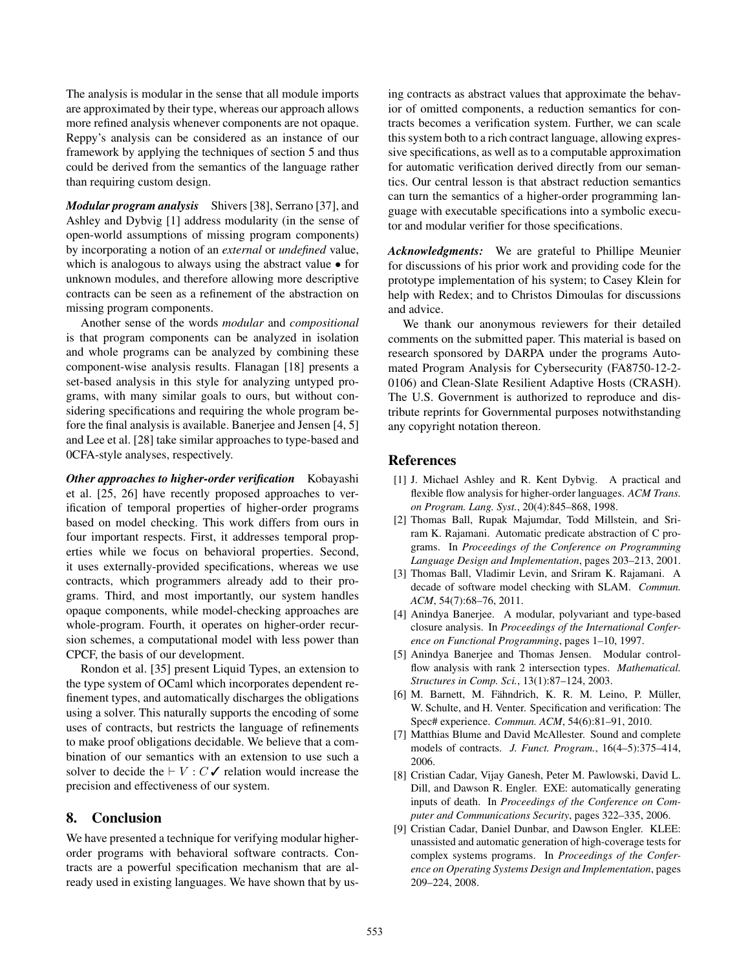The analysis is modular in the sense that all module imports are approximated by their type, whereas our approach allows more refined analysis whenever components are not opaque. Reppy's analysis can be considered as an instance of our framework by applying the techniques of section [5](#page-11-0) and thus could be derived from the semantics of the language rather than requiring custom design.

*Modular program analysis* Shivers [\[38](#page-17-28)], Serrano [\[37](#page-17-29)], and Ashley and Dybvig [\[1](#page-16-6)] address modularity (in the sense of open-world assumptions of missing program components) by incorporating a notion of an *external* or *undefined* value, which is analogous to always using the abstract value • for unknown modules, and therefore allowing more descriptive contracts can be seen as a refinement of the abstraction on missing program components.

Another sense of the words *modular* and *compositional* is that program components can be analyzed in isolation and whole programs can be analyzed by combining these component-wise analysis results. Flanagan [\[18](#page-17-30)] presents a set-based analysis in this style for analyzing untyped programs, with many similar goals to ours, but without considering specifications and requiring the whole program before the final analysis is available. Banerjee and Jensen [\[4](#page-16-7), [5\]](#page-16-8) and Lee et al. [\[28](#page-17-31)] take similar approaches to type-based and 0CFA-style analyses, respectively.

*[Other approaches to higher-order verification](#page-17-32)* Kobayashi et al. [[25,](#page-17-33) [26](#page-17-32)] have recently proposed approaches to verification of temporal properties of higher-order programs based on model checking. This work differs from ours in four important respects. First, it addresses temporal properties while we focus on behavioral properties. Second, it uses externally-provided specifications, whereas we use contracts, which programmers already add to their programs. Third, and most importantly, our system handles opaque components, while model-checking approaches are whole-program. Fourth, it operates on higher-order recursion schemes, a computational model with less power than CPCF, the basis of our development.

Rondon et al. [\[35](#page-17-34)] present Liquid Types, an extension to the type system of OCaml which incorporates dependent refinement types, and automatically discharges the obligations using a solver. This naturally supports the encoding of some uses of contracts, but restricts the language of refinements to make proof obligations decidable. We believe that a combination of our semantics with an extension to use such a solver to decide the  $\vdash V : C \checkmark$  relation would increase the precision and effectiveness of our system.

# 8. Conclusion

We have presented a technique for verifying modular higherorder programs with behavioral software contracts. Contracts are a powerful specification mechanism that are already used in existing languages. We have shown that by using contracts as abstract values that approximate the behavior of omitted components, a reduction semantics for contracts becomes a verification system. Further, we can scale this system both to a rich contract language, allowing expressive specifications, as well as to a computable approximation for automatic verification derived directly from our semantics. Our central lesson is that abstract reduction semantics can turn the semantics of a higher-order programming language with executable specifications into a symbolic executor and modular verifier for those specifications.

*Acknowledgments:* We are grateful to Phillipe Meunier for discussions of his prior work and providing code for the prototype implementation of his system; to Casey Klein for help with Redex; and to Christos Dimoulas for discussions and advice.

We thank our anonymous reviewers for their detailed comments on the submitted paper. This material is based on research sponsored by DARPA under the programs Automated Program Analysis for Cybersecurity (FA8750-12-2- 0106) and Clean-Slate Resilient Adaptive Hosts (CRASH). The U.S. Government is authorized to reproduce and distribute reprints for Governmental purposes notwithstanding any copyright notation thereon.

# **References**

- <span id="page-16-6"></span>[1] J. Michael Ashley and R. Kent Dybvig. A practical and flexible flow analysis for higher-order languages. *ACM Trans. on Program. Lang. Syst.*, 20(4):845–868, 1998.
- <span id="page-16-4"></span>[2] Thomas Ball, Rupak Majumdar, Todd Millstein, and Sriram K. Rajamani. Automatic predicate abstraction of C programs. In *Proceedings of the Conference on Programming Language Design and Implementation*, pages 203–213, 2001.
- <span id="page-16-2"></span>[3] Thomas Ball, Vladimir Levin, and Sriram K. Rajamani. A decade of software model checking with SLAM. *Commun. ACM*, 54(7):68–76, 2011.
- <span id="page-16-7"></span>[4] Anindya Banerjee. A modular, polyvariant and type-based closure analysis. In *Proceedings of the International Conference on Functional Programming*, pages 1–10, 1997.
- <span id="page-16-8"></span>[5] Anindya Banerjee and Thomas Jensen. Modular controlflow analysis with rank 2 intersection types. *Mathematical. Structures in Comp. Sci.*, 13(1):87–124, 2003.
- <span id="page-16-3"></span>[6] M. Barnett, M. Fähndrich, K. R. M. Leino, P. Müller, W. Schulte, and H. Venter. Specification and verification: The Spec# experience. *Commun. ACM*, 54(6):81–91, 2010.
- <span id="page-16-5"></span>[7] Matthias Blume and David McAllester. Sound and complete models of contracts. *J. Funct. Program.*, 16(4–5):375–414, 2006.
- <span id="page-16-0"></span>[8] Cristian Cadar, Vijay Ganesh, Peter M. Pawlowski, David L. Dill, and Dawson R. Engler. EXE: automatically generating inputs of death. In *Proceedings of the Conference on Computer and Communications Security*, pages 322–335, 2006.
- <span id="page-16-1"></span>[9] Cristian Cadar, Daniel Dunbar, and Dawson Engler. KLEE: unassisted and automatic generation of high-coverage tests for complex systems programs. In *Proceedings of the Conference on Operating Systems Design and Implementation*, pages 209–224, 2008.